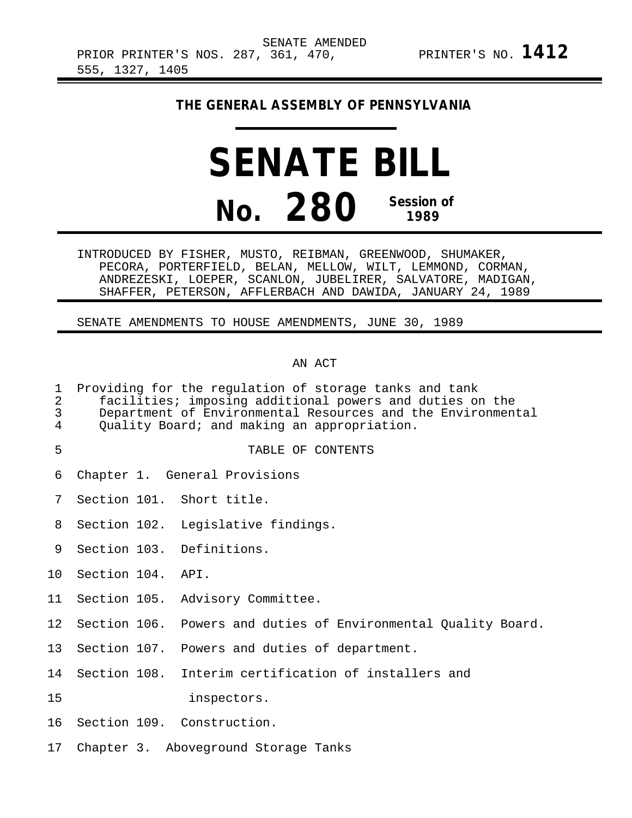## **THE GENERAL ASSEMBLY OF PENNSYLVANIA**

# **SENATE BILL No. 280 Session of 1989**

INTRODUCED BY FISHER, MUSTO, REIBMAN, GREENWOOD, SHUMAKER, PECORA, PORTERFIELD, BELAN, MELLOW, WILT, LEMMOND, CORMAN, ANDREZESKI, LOEPER, SCANLON, JUBELIRER, SALVATORE, MADIGAN, SHAFFER, PETERSON, AFFLERBACH AND DAWIDA, JANUARY 24, 1989

### SENATE AMENDMENTS TO HOUSE AMENDMENTS, JUNE 30, 1989

## AN ACT

- 1 Providing for the regulation of storage tanks and tank
- 2 facilities; imposing additional powers and duties on the 3 Department of Environmental Resources and the Environmental<br>4 Ouality Board; and making an appropriation.
- Quality Board; and making an appropriation.
- 5 TABLE OF CONTENTS
- 6 Chapter 1. General Provisions
- 7 Section 101. Short title.
- 8 Section 102. Legislative findings.
- 9 Section 103. Definitions.
- 10 Section 104. API.
- 11 Section 105. Advisory Committee.
- 12 Section 106. Powers and duties of Environmental Quality Board.
- 13 Section 107. Powers and duties of department.
- 14 Section 108. Interim certification of installers and
- 15 inspectors.
- 16 Section 109. Construction.
- 17 Chapter 3. Aboveground Storage Tanks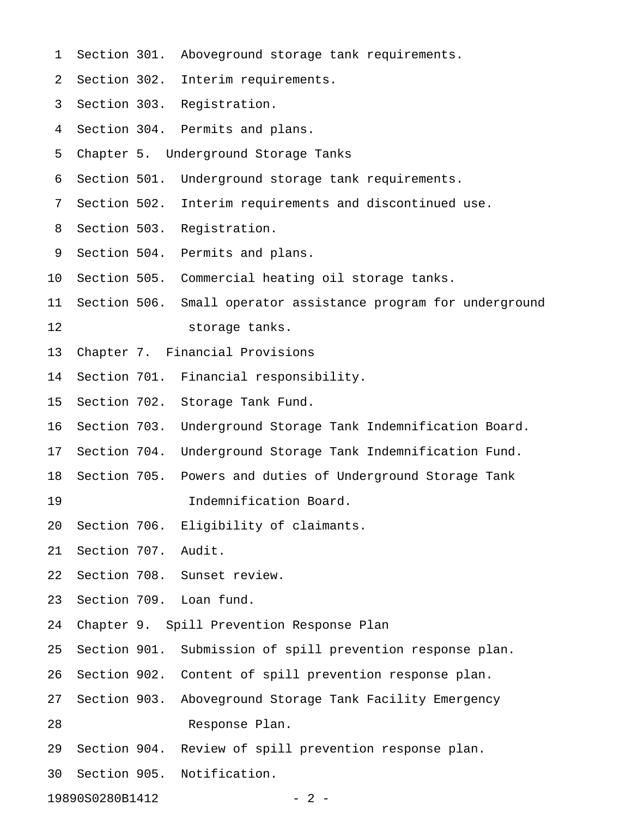| 1  | Section 301.        | Aboveground storage tank requirements.                     |
|----|---------------------|------------------------------------------------------------|
| 2  | Section 302.        | Interim requirements.                                      |
| 3  | Section 303.        | Registration.                                              |
| 4  |                     | Section 304. Permits and plans.                            |
| 5  |                     | Chapter 5. Underground Storage Tanks                       |
| 6  | Section 501.        | Underground storage tank requirements.                     |
| 7  | Section 502.        | Interim requirements and discontinued use.                 |
| 8  | Section 503.        | Registration.                                              |
| 9  | Section 504.        | Permits and plans.                                         |
| 10 | Section 505.        | Commercial heating oil storage tanks.                      |
| 11 | Section 506.        | Small operator assistance program for underground          |
| 12 |                     | storage tanks.                                             |
| 13 |                     | Chapter 7. Financial Provisions                            |
| 14 | Section 701.        | Financial responsibility.                                  |
| 15 | Section 702.        | Storage Tank Fund.                                         |
| 16 | Section 703.        | Underground Storage Tank Indemnification Board.            |
| 17 | Section 704.        | Underground Storage Tank Indemnification Fund.             |
| 18 | Section 705.        | Powers and duties of Underground Storage Tank              |
| 19 |                     | Indemnification Board.                                     |
| 20 |                     | Section 706. Eligibility of claimants.                     |
| 21 | Section 707. Audit. |                                                            |
| 22 |                     | Section 708. Sunset review.                                |
| 23 |                     | Section 709. Loan fund.                                    |
| 24 |                     | Chapter 9. Spill Prevention Response Plan                  |
| 25 |                     | Section 901. Submission of spill prevention response plan. |
| 26 |                     | Section 902. Content of spill prevention response plan.    |
| 27 | Section 903.        | Aboveground Storage Tank Facility Emergency                |
| 28 |                     | Response Plan.                                             |
| 29 |                     | Section 904. Review of spill prevention response plan.     |
| 30 |                     | Section 905. Notification.                                 |
|    |                     |                                                            |

19890S0280B1412 - 2 -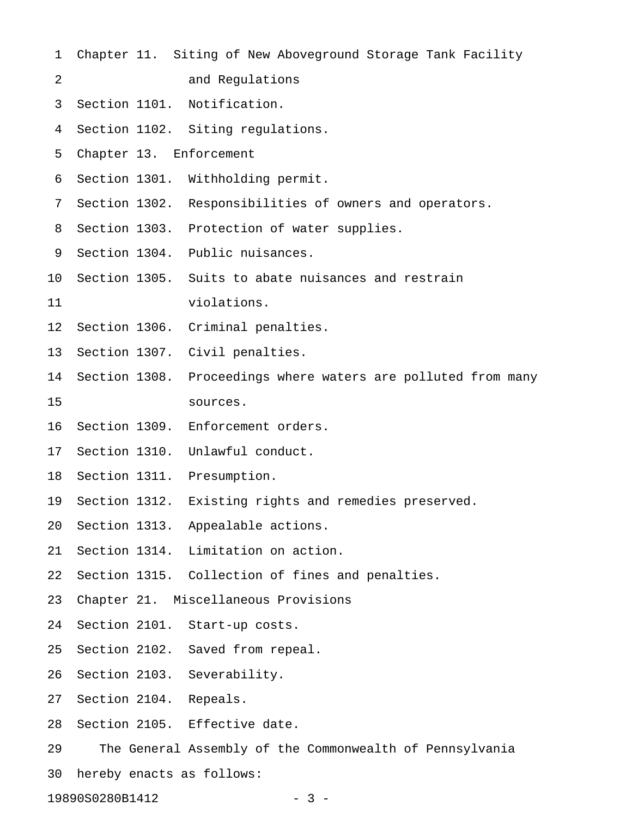| $\mathbf 1$     |               | Chapter 11. Siting of New Aboveground Storage Tank Facility   |
|-----------------|---------------|---------------------------------------------------------------|
| 2               |               | and Regulations                                               |
| 3               |               | Section 1101. Notification.                                   |
| 4               |               | Section 1102. Siting regulations.                             |
| 5               |               | Chapter 13. Enforcement                                       |
| 6               |               | Section 1301. Withholding permit.                             |
| 7               |               | Section 1302. Responsibilities of owners and operators.       |
| 8               |               | Section 1303. Protection of water supplies.                   |
| 9               |               | Section 1304. Public nuisances.                               |
| 10              |               | Section 1305. Suits to abate nuisances and restrain           |
| 11              |               | violations.                                                   |
| 12 <sub>1</sub> |               | Section 1306. Criminal penalties.                             |
| 13              |               | Section 1307. Civil penalties.                                |
| 14              |               | Section 1308. Proceedings where waters are polluted from many |
| 15              |               | sources.                                                      |
| 16              |               | Section 1309. Enforcement orders.                             |
| 17              |               | Section 1310. Unlawful conduct.                               |
| 18              |               | Section 1311. Presumption.                                    |
| 19              | Section 1312. | Existing rights and remedies preserved.                       |
| 20              |               | Section 1313. Appealable actions.                             |
| 21              |               | Section 1314. Limitation on action.                           |
| 22              |               | Section 1315. Collection of fines and penalties.              |
| 23              |               | Chapter 21. Miscellaneous Provisions                          |
| 24              |               | Section 2101. Start-up costs.                                 |
| 25              |               | Section 2102. Saved from repeal.                              |
| 26              |               | Section 2103. Severability.                                   |
| 27              |               | Section 2104. Repeals.                                        |
| 28              |               | Section 2105. Effective date.                                 |
| 29              |               | The General Assembly of the Commonwealth of Pennsylvania      |
| 30              |               | hereby enacts as follows:                                     |

19890S0280B1412 - 3 -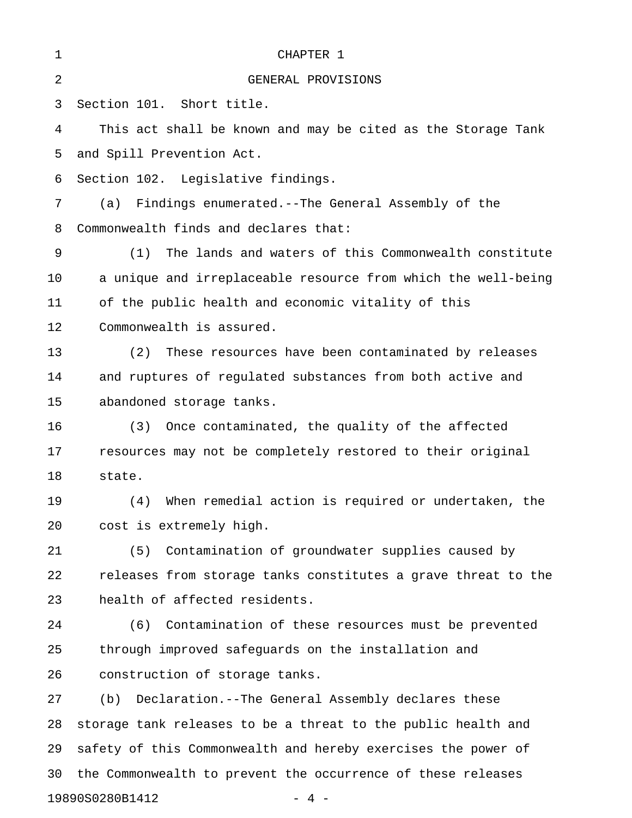| 1  | CHAPTER 1                                                     |
|----|---------------------------------------------------------------|
| 2  | GENERAL PROVISIONS                                            |
| 3  | Section 101. Short title.                                     |
| 4  | This act shall be known and may be cited as the Storage Tank  |
| 5  | and Spill Prevention Act.                                     |
| 6  | Section 102. Legislative findings.                            |
| 7  | Findings enumerated.--The General Assembly of the<br>(a)      |
| 8  | Commonwealth finds and declares that:                         |
| 9  | The lands and waters of this Commonwealth constitute<br>(1)   |
| 10 | a unique and irreplaceable resource from which the well-being |
| 11 | of the public health and economic vitality of this            |
| 12 | Commonwealth is assured.                                      |
| 13 | These resources have been contaminated by releases<br>(2)     |
| 14 | and ruptures of regulated substances from both active and     |
| 15 | abandoned storage tanks.                                      |
| 16 | Once contaminated, the quality of the affected<br>(3)         |
| 17 | resources may not be completely restored to their original    |
| 18 | state.                                                        |
| 19 | When remedial action is required or undertaken, the<br>(4)    |
| 20 | cost is extremely high.                                       |
| 21 | Contamination of groundwater supplies caused by<br>(5)        |
| 22 | releases from storage tanks constitutes a grave threat to the |
| 23 | health of affected residents.                                 |
| 24 | (6)<br>Contamination of these resources must be prevented     |
| 25 | through improved safeguards on the installation and           |
| 26 | construction of storage tanks.                                |
| 27 | Declaration.--The General Assembly declares these<br>(b)      |
| 28 | storage tank releases to be a threat to the public health and |
| 29 | safety of this Commonwealth and hereby exercises the power of |
| 30 | the Commonwealth to prevent the occurrence of these releases  |

19890S0280B1412 - 4 -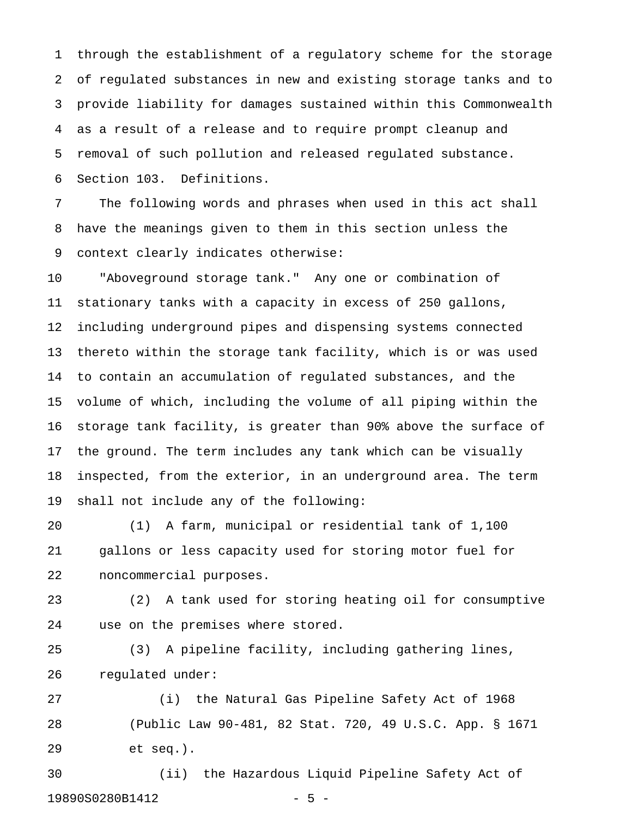1 through the establishment of a regulatory scheme for the storage 2 of regulated substances in new and existing storage tanks and to 3 provide liability for damages sustained within this Commonwealth 4 as a result of a release and to require prompt cleanup and 5 removal of such pollution and released regulated substance. 6 Section 103. Definitions.

7 The following words and phrases when used in this act shall 8 have the meanings given to them in this section unless the 9 context clearly indicates otherwise:

10 "Aboveground storage tank." Any one or combination of 11 stationary tanks with a capacity in excess of 250 gallons, 12 including underground pipes and dispensing systems connected 13 thereto within the storage tank facility, which is or was used 14 to contain an accumulation of regulated substances, and the 15 volume of which, including the volume of all piping within the 16 storage tank facility, is greater than 90% above the surface of 17 the ground. The term includes any tank which can be visually 18 inspected, from the exterior, in an underground area. The term 19 shall not include any of the following:

20 (1) A farm, municipal or residential tank of 1,100 21 gallons or less capacity used for storing motor fuel for 22 noncommercial purposes.

23 (2) A tank used for storing heating oil for consumptive 24 use on the premises where stored.

25 (3) A pipeline facility, including gathering lines, 26 regulated under:

27 (i) the Natural Gas Pipeline Safety Act of 1968 28 (Public Law 90-481, 82 Stat. 720, 49 U.S.C. App. § 1671 29 et seq.).

30 (ii) the Hazardous Liquid Pipeline Safety Act of 19890S0280B1412 - 5 -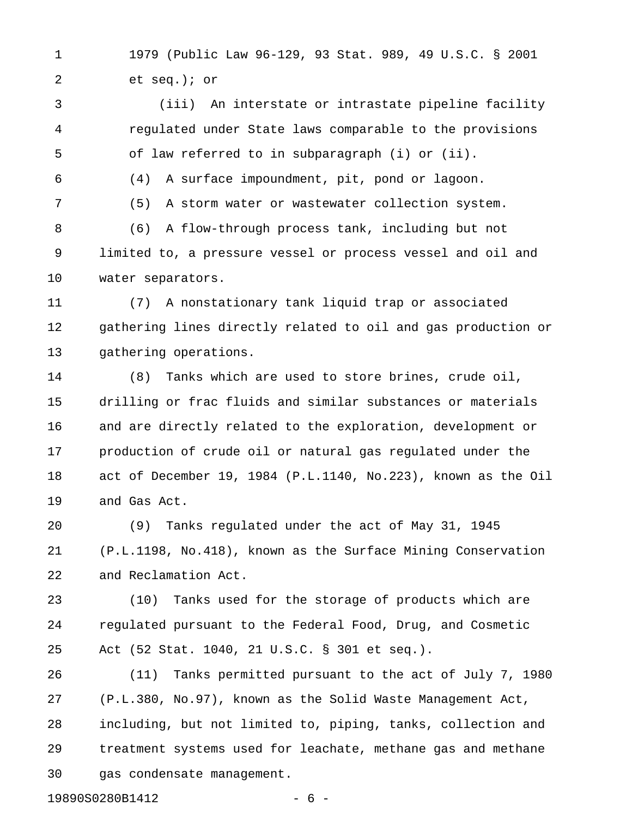1 1979 (Public Law 96-129, 93 Stat. 989, 49 U.S.C. § 2001 2 et seq.); or

3 (iii) An interstate or intrastate pipeline facility 4 regulated under State laws comparable to the provisions 5 of law referred to in subparagraph (i) or (ii).

6 (4) A surface impoundment, pit, pond or lagoon.

7 (5) A storm water or wastewater collection system.

8 (6) A flow-through process tank, including but not 9 limited to, a pressure vessel or process vessel and oil and 10 water separators.

11 (7) A nonstationary tank liquid trap or associated 12 gathering lines directly related to oil and gas production or 13 gathering operations.

14 (8) Tanks which are used to store brines, crude oil, 15 drilling or frac fluids and similar substances or materials 16 and are directly related to the exploration, development or 17 production of crude oil or natural gas regulated under the 18 act of December 19, 1984 (P.L.1140, No.223), known as the Oil 19 and Gas Act.

20 (9) Tanks regulated under the act of May 31, 1945 21 (P.L.1198, No.418), known as the Surface Mining Conservation 22 and Reclamation Act.

23 (10) Tanks used for the storage of products which are 24 regulated pursuant to the Federal Food, Drug, and Cosmetic 25 Act (52 Stat. 1040, 21 U.S.C. § 301 et seq.).

26 (11) Tanks permitted pursuant to the act of July 7, 1980 27 (P.L.380, No.97), known as the Solid Waste Management Act, 28 including, but not limited to, piping, tanks, collection and 29 treatment systems used for leachate, methane gas and methane 30 gas condensate management.

19890S0280B1412 - 6 -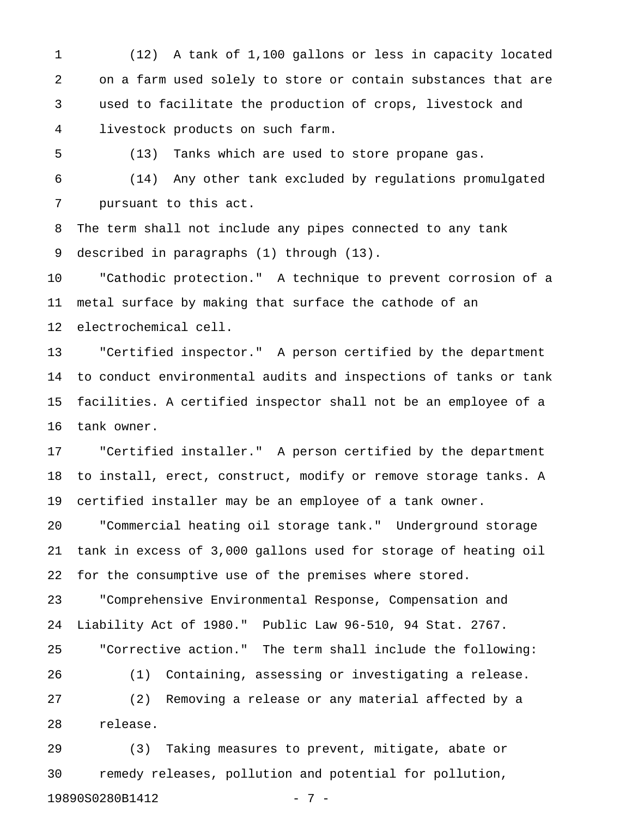1 (12) A tank of 1,100 gallons or less in capacity located 2 on a farm used solely to store or contain substances that are 3 used to facilitate the production of crops, livestock and 4 livestock products on such farm.

5 (13) Tanks which are used to store propane gas.

6 (14) Any other tank excluded by regulations promulgated 7 pursuant to this act.

8 The term shall not include any pipes connected to any tank 9 described in paragraphs (1) through (13).

10 "Cathodic protection." A technique to prevent corrosion of a 11 metal surface by making that surface the cathode of an 12 electrochemical cell.

13 "Certified inspector." A person certified by the department 14 to conduct environmental audits and inspections of tanks or tank 15 facilities. A certified inspector shall not be an employee of a 16 tank owner.

17 "Certified installer." A person certified by the department 18 to install, erect, construct, modify or remove storage tanks. A 19 certified installer may be an employee of a tank owner.

20 "Commercial heating oil storage tank." Underground storage 21 tank in excess of 3,000 gallons used for storage of heating oil 22 for the consumptive use of the premises where stored.

23 "Comprehensive Environmental Response, Compensation and 24 Liability Act of 1980." Public Law 96-510, 94 Stat. 2767. 25 "Corrective action." The term shall include the following:

26 (1) Containing, assessing or investigating a release. 27 (2) Removing a release or any material affected by a 28 release.

29 (3) Taking measures to prevent, mitigate, abate or 30 remedy releases, pollution and potential for pollution, 19890S0280B1412 - 7 -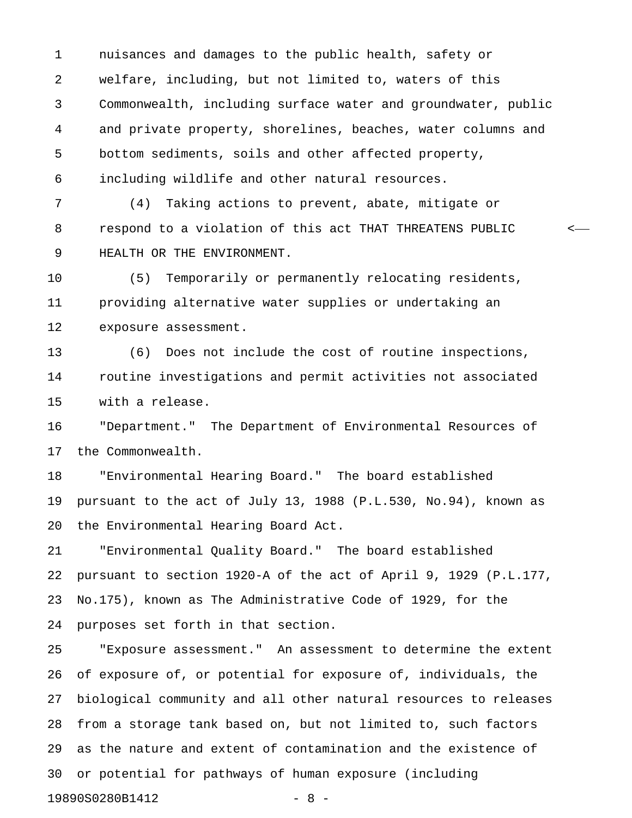1 nuisances and damages to the public health, safety or 2 welfare, including, but not limited to, waters of this 3 Commonwealth, including surface water and groundwater, public 4 and private property, shorelines, beaches, water columns and 5 bottom sediments, soils and other affected property, 6 including wildlife and other natural resources.

7 (4) Taking actions to prevent, abate, mitigate or 8 respond to a violation of this act THAT THREATENS PUBLIC < 9 HEALTH OR THE ENVIRONMENT.

10 (5) Temporarily or permanently relocating residents, 11 providing alternative water supplies or undertaking an 12 exposure assessment.

13 (6) Does not include the cost of routine inspections, 14 routine investigations and permit activities not associated 15 with a release.

16 "Department." The Department of Environmental Resources of 17 the Commonwealth.

18 "Environmental Hearing Board." The board established 19 pursuant to the act of July 13, 1988 (P.L.530, No.94), known as 20 the Environmental Hearing Board Act.

21 "Environmental Quality Board." The board established 22 pursuant to section 1920-A of the act of April 9, 1929 (P.L.177, 23 No.175), known as The Administrative Code of 1929, for the 24 purposes set forth in that section.

25 "Exposure assessment." An assessment to determine the extent 26 of exposure of, or potential for exposure of, individuals, the 27 biological community and all other natural resources to releases 28 from a storage tank based on, but not limited to, such factors 29 as the nature and extent of contamination and the existence of 30 or potential for pathways of human exposure (including 19890S0280B1412 - 8 -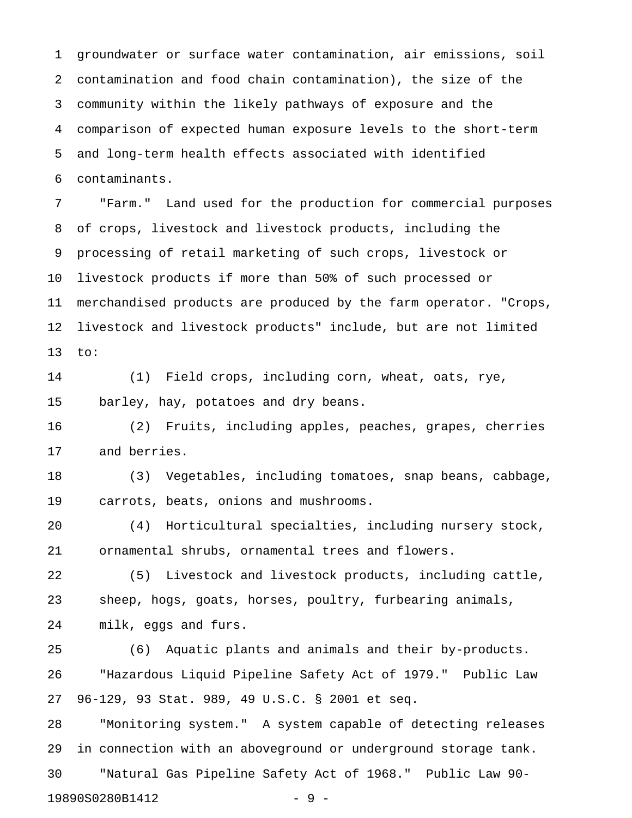1 groundwater or surface water contamination, air emissions, soil 2 contamination and food chain contamination), the size of the 3 community within the likely pathways of exposure and the 4 comparison of expected human exposure levels to the short-term 5 and long-term health effects associated with identified 6 contaminants.

7 "Farm." Land used for the production for commercial purposes 8 of crops, livestock and livestock products, including the 9 processing of retail marketing of such crops, livestock or 10 livestock products if more than 50% of such processed or 11 merchandised products are produced by the farm operator. "Crops, 12 livestock and livestock products" include, but are not limited 13 to:

14 (1) Field crops, including corn, wheat, oats, rye, 15 barley, hay, potatoes and dry beans.

16 (2) Fruits, including apples, peaches, grapes, cherries 17 and berries.

18 (3) Vegetables, including tomatoes, snap beans, cabbage, 19 carrots, beats, onions and mushrooms.

20 (4) Horticultural specialties, including nursery stock, 21 ornamental shrubs, ornamental trees and flowers.

22 (5) Livestock and livestock products, including cattle, 23 sheep, hogs, goats, horses, poultry, furbearing animals, 24 milk, eggs and furs.

25 (6) Aquatic plants and animals and their by-products. 26 "Hazardous Liquid Pipeline Safety Act of 1979." Public Law 27 96-129, 93 Stat. 989, 49 U.S.C. § 2001 et seq.

28 "Monitoring system." A system capable of detecting releases 29 in connection with an aboveground or underground storage tank. 30 "Natural Gas Pipeline Safety Act of 1968." Public Law 90- 19890S0280B1412 - 9 -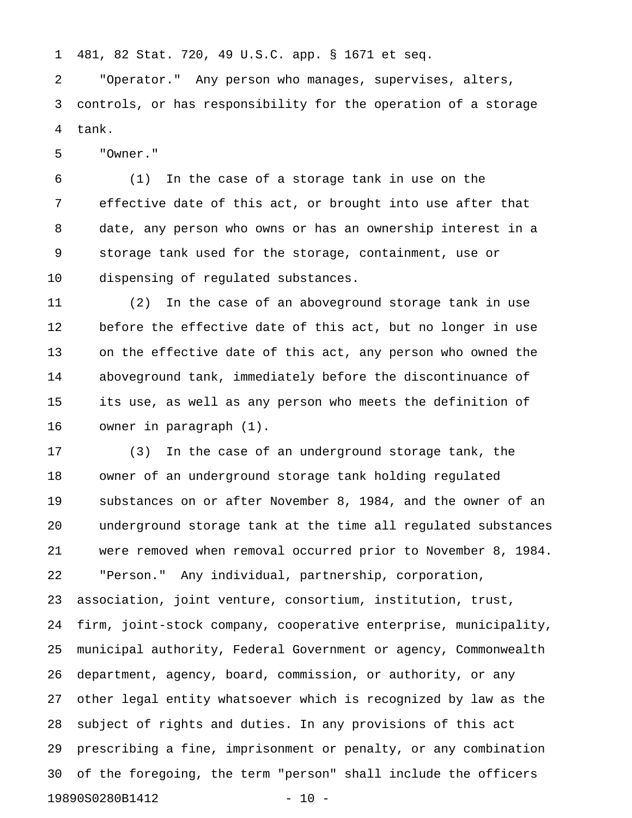1 481, 82 Stat. 720, 49 U.S.C. app. § 1671 et seq.

2 "Operator." Any person who manages, supervises, alters, 3 controls, or has responsibility for the operation of a storage 4 tank.

5 "Owner."

6 (1) In the case of a storage tank in use on the 7 effective date of this act, or brought into use after that 8 date, any person who owns or has an ownership interest in a 9 storage tank used for the storage, containment, use or 10 dispensing of regulated substances.

11 (2) In the case of an aboveground storage tank in use 12 before the effective date of this act, but no longer in use 13 on the effective date of this act, any person who owned the 14 aboveground tank, immediately before the discontinuance of 15 its use, as well as any person who meets the definition of 16 owner in paragraph (1).

17 (3) In the case of an underground storage tank, the 18 owner of an underground storage tank holding regulated 19 substances on or after November 8, 1984, and the owner of an 20 underground storage tank at the time all regulated substances 21 were removed when removal occurred prior to November 8, 1984. 22 "Person." Any individual, partnership, corporation, 23 association, joint venture, consortium, institution, trust, 24 firm, joint-stock company, cooperative enterprise, municipality, 25 municipal authority, Federal Government or agency, Commonwealth 26 department, agency, board, commission, or authority, or any 27 other legal entity whatsoever which is recognized by law as the 28 subject of rights and duties. In any provisions of this act 29 prescribing a fine, imprisonment or penalty, or any combination 30 of the foregoing, the term "person" shall include the officers 19890S0280B1412 - 10 -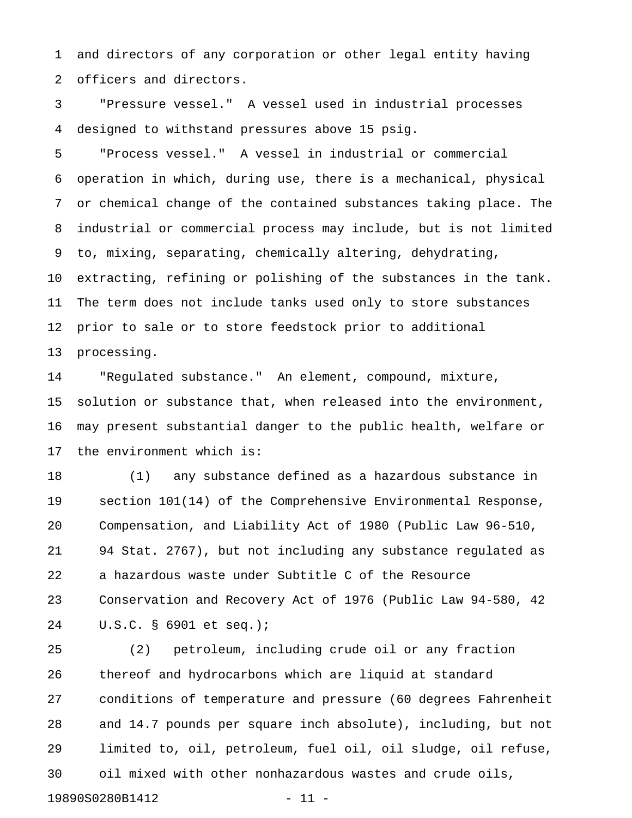1 and directors of any corporation or other legal entity having 2 officers and directors.

3 "Pressure vessel." A vessel used in industrial processes 4 designed to withstand pressures above 15 psig.

5 "Process vessel." A vessel in industrial or commercial 6 operation in which, during use, there is a mechanical, physical 7 or chemical change of the contained substances taking place. The 8 industrial or commercial process may include, but is not limited 9 to, mixing, separating, chemically altering, dehydrating, 10 extracting, refining or polishing of the substances in the tank. 11 The term does not include tanks used only to store substances 12 prior to sale or to store feedstock prior to additional 13 processing.

14 "Regulated substance." An element, compound, mixture, 15 solution or substance that, when released into the environment, 16 may present substantial danger to the public health, welfare or 17 the environment which is:

18 (1) any substance defined as a hazardous substance in 19 section 101(14) of the Comprehensive Environmental Response, 20 Compensation, and Liability Act of 1980 (Public Law 96-510, 21 94 Stat. 2767), but not including any substance regulated as 22 a hazardous waste under Subtitle C of the Resource 23 Conservation and Recovery Act of 1976 (Public Law 94-580, 42 24 U.S.C. § 6901 et seq.);

25 (2) petroleum, including crude oil or any fraction 26 thereof and hydrocarbons which are liquid at standard 27 conditions of temperature and pressure (60 degrees Fahrenheit 28 and 14.7 pounds per square inch absolute), including, but not 29 limited to, oil, petroleum, fuel oil, oil sludge, oil refuse, 30 oil mixed with other nonhazardous wastes and crude oils, 19890S0280B1412 - 11 -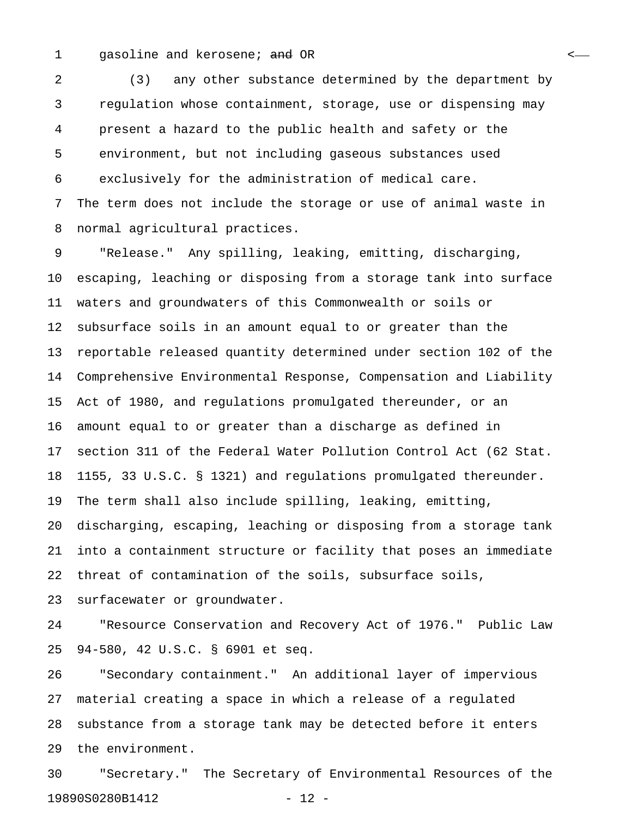#### 1 gasoline and kerosene; and OR <

2 (3) any other substance determined by the department by 3 regulation whose containment, storage, use or dispensing may 4 present a hazard to the public health and safety or the 5 environment, but not including gaseous substances used 6 exclusively for the administration of medical care. 7 The term does not include the storage or use of animal waste in 8 normal agricultural practices.

9 "Release." Any spilling, leaking, emitting, discharging, 10 escaping, leaching or disposing from a storage tank into surface 11 waters and groundwaters of this Commonwealth or soils or 12 subsurface soils in an amount equal to or greater than the 13 reportable released quantity determined under section 102 of the 14 Comprehensive Environmental Response, Compensation and Liability 15 Act of 1980, and regulations promulgated thereunder, or an 16 amount equal to or greater than a discharge as defined in 17 section 311 of the Federal Water Pollution Control Act (62 Stat. 18 1155, 33 U.S.C. § 1321) and regulations promulgated thereunder. 19 The term shall also include spilling, leaking, emitting, 20 discharging, escaping, leaching or disposing from a storage tank 21 into a containment structure or facility that poses an immediate 22 threat of contamination of the soils, subsurface soils, 23 surfacewater or groundwater.

24 "Resource Conservation and Recovery Act of 1976." Public Law 25 94-580, 42 U.S.C. § 6901 et seq.

26 "Secondary containment." An additional layer of impervious 27 material creating a space in which a release of a regulated 28 substance from a storage tank may be detected before it enters 29 the environment.

30 "Secretary." The Secretary of Environmental Resources of the 19890S0280B1412 - 12 -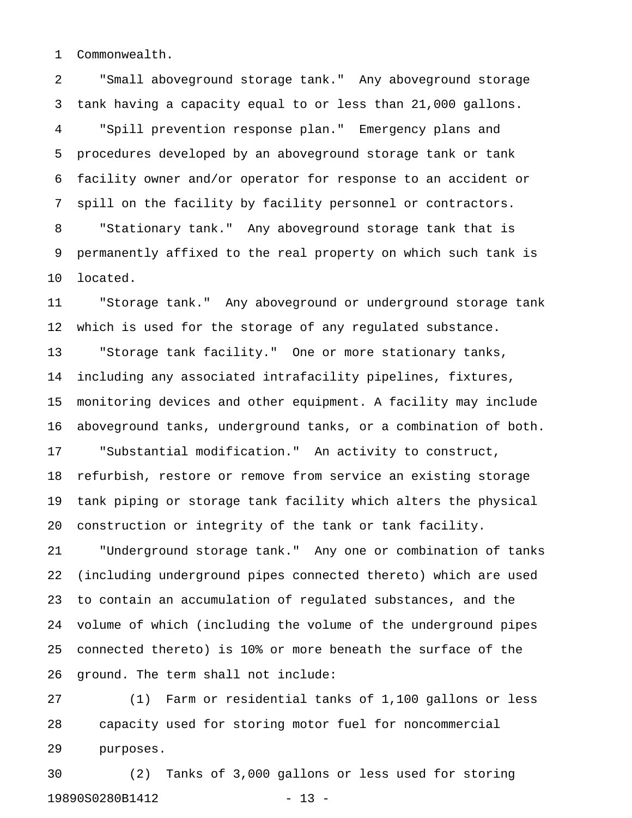1 Commonwealth.

2 "Small aboveground storage tank." Any aboveground storage 3 tank having a capacity equal to or less than 21,000 gallons. 4 "Spill prevention response plan." Emergency plans and 5 procedures developed by an aboveground storage tank or tank 6 facility owner and/or operator for response to an accident or 7 spill on the facility by facility personnel or contractors. 8 "Stationary tank." Any aboveground storage tank that is 9 permanently affixed to the real property on which such tank is 10 located.

11 "Storage tank." Any aboveground or underground storage tank 12 which is used for the storage of any regulated substance. 13 "Storage tank facility." One or more stationary tanks, 14 including any associated intrafacility pipelines, fixtures, 15 monitoring devices and other equipment. A facility may include 16 aboveground tanks, underground tanks, or a combination of both. 17 "Substantial modification." An activity to construct, 18 refurbish, restore or remove from service an existing storage 19 tank piping or storage tank facility which alters the physical 20 construction or integrity of the tank or tank facility.

21 "Underground storage tank." Any one or combination of tanks 22 (including underground pipes connected thereto) which are used 23 to contain an accumulation of regulated substances, and the 24 volume of which (including the volume of the underground pipes 25 connected thereto) is 10% or more beneath the surface of the 26 ground. The term shall not include:

27 (1) Farm or residential tanks of 1,100 gallons or less 28 capacity used for storing motor fuel for noncommercial 29 purposes.

30 (2) Tanks of 3,000 gallons or less used for storing 19890S0280B1412 - 13 -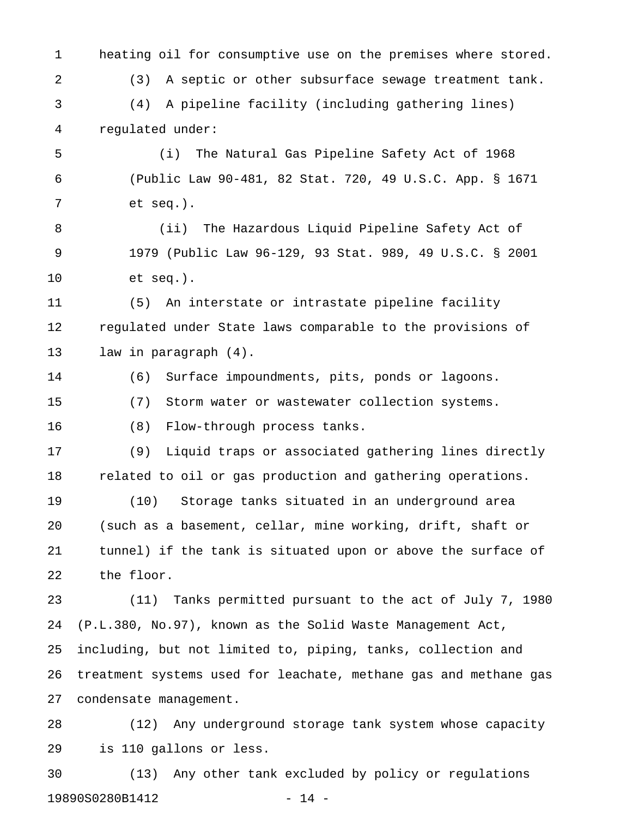1 heating oil for consumptive use on the premises where stored. 2 (3) A septic or other subsurface sewage treatment tank. 3 (4) A pipeline facility (including gathering lines) 4 regulated under:

5 (i) The Natural Gas Pipeline Safety Act of 1968 6 (Public Law 90-481, 82 Stat. 720, 49 U.S.C. App. § 1671 7 et seq.).

8 (ii) The Hazardous Liquid Pipeline Safety Act of 9 1979 (Public Law 96-129, 93 Stat. 989, 49 U.S.C. § 2001 10 et seq.).

11 (5) An interstate or intrastate pipeline facility 12 regulated under State laws comparable to the provisions of 13 law in paragraph (4).

14 (6) Surface impoundments, pits, ponds or lagoons. 15 (7) Storm water or wastewater collection systems.

16 (8) Flow-through process tanks.

17 (9) Liquid traps or associated gathering lines directly 18 related to oil or gas production and gathering operations.

19 (10) Storage tanks situated in an underground area 20 (such as a basement, cellar, mine working, drift, shaft or 21 tunnel) if the tank is situated upon or above the surface of 22 the floor.

23 (11) Tanks permitted pursuant to the act of July 7, 1980 24 (P.L.380, No.97), known as the Solid Waste Management Act, 25 including, but not limited to, piping, tanks, collection and 26 treatment systems used for leachate, methane gas and methane gas 27 condensate management.

28 (12) Any underground storage tank system whose capacity 29 is 110 gallons or less.

30 (13) Any other tank excluded by policy or regulations 19890S0280B1412 - 14 -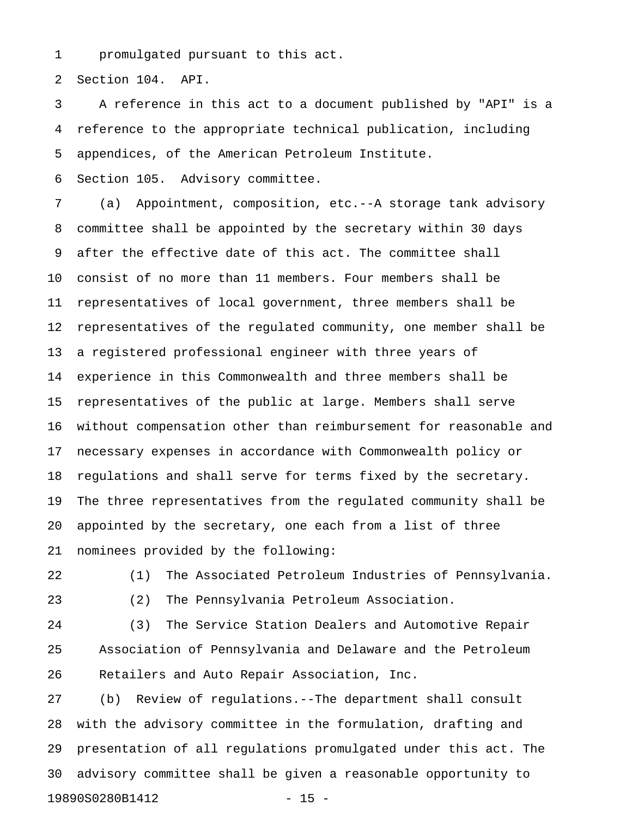1 promulgated pursuant to this act.

2 Section 104. API.

3 A reference in this act to a document published by "API" is a 4 reference to the appropriate technical publication, including 5 appendices, of the American Petroleum Institute.

6 Section 105. Advisory committee.

7 (a) Appointment, composition, etc.--A storage tank advisory 8 committee shall be appointed by the secretary within 30 days 9 after the effective date of this act. The committee shall 10 consist of no more than 11 members. Four members shall be 11 representatives of local government, three members shall be 12 representatives of the regulated community, one member shall be 13 a registered professional engineer with three years of 14 experience in this Commonwealth and three members shall be 15 representatives of the public at large. Members shall serve 16 without compensation other than reimbursement for reasonable and 17 necessary expenses in accordance with Commonwealth policy or 18 regulations and shall serve for terms fixed by the secretary. 19 The three representatives from the regulated community shall be 20 appointed by the secretary, one each from a list of three 21 nominees provided by the following:

22 (1) The Associated Petroleum Industries of Pennsylvania. 23 (2) The Pennsylvania Petroleum Association.

24 (3) The Service Station Dealers and Automotive Repair 25 Association of Pennsylvania and Delaware and the Petroleum 26 Retailers and Auto Repair Association, Inc.

27 (b) Review of regulations.--The department shall consult 28 with the advisory committee in the formulation, drafting and 29 presentation of all regulations promulgated under this act. The 30 advisory committee shall be given a reasonable opportunity to 19890S0280B1412 - 15 -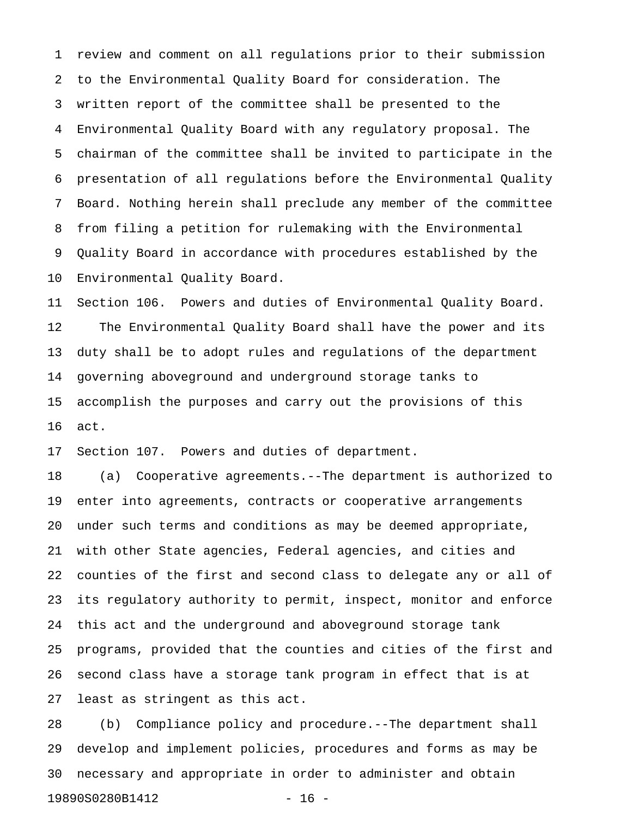1 review and comment on all regulations prior to their submission 2 to the Environmental Quality Board for consideration. The 3 written report of the committee shall be presented to the 4 Environmental Quality Board with any regulatory proposal. The 5 chairman of the committee shall be invited to participate in the 6 presentation of all regulations before the Environmental Quality 7 Board. Nothing herein shall preclude any member of the committee 8 from filing a petition for rulemaking with the Environmental 9 Quality Board in accordance with procedures established by the 10 Environmental Quality Board.

11 Section 106. Powers and duties of Environmental Quality Board. 12 The Environmental Quality Board shall have the power and its 13 duty shall be to adopt rules and regulations of the department 14 governing aboveground and underground storage tanks to 15 accomplish the purposes and carry out the provisions of this 16 act.

17 Section 107. Powers and duties of department.

18 (a) Cooperative agreements.--The department is authorized to 19 enter into agreements, contracts or cooperative arrangements 20 under such terms and conditions as may be deemed appropriate, 21 with other State agencies, Federal agencies, and cities and 22 counties of the first and second class to delegate any or all of 23 its regulatory authority to permit, inspect, monitor and enforce 24 this act and the underground and aboveground storage tank 25 programs, provided that the counties and cities of the first and 26 second class have a storage tank program in effect that is at 27 least as stringent as this act.

28 (b) Compliance policy and procedure.--The department shall 29 develop and implement policies, procedures and forms as may be 30 necessary and appropriate in order to administer and obtain 19890S0280B1412 - 16 -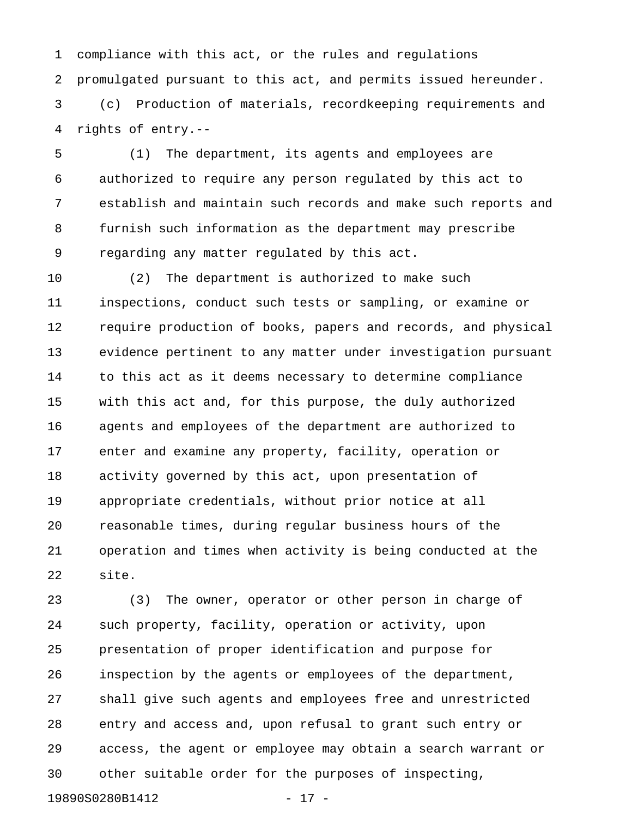1 compliance with this act, or the rules and regulations 2 promulgated pursuant to this act, and permits issued hereunder.

3 (c) Production of materials, recordkeeping requirements and 4 rights of entry.--

5 (1) The department, its agents and employees are 6 authorized to require any person regulated by this act to 7 establish and maintain such records and make such reports and 8 furnish such information as the department may prescribe 9 regarding any matter regulated by this act.

10 (2) The department is authorized to make such 11 inspections, conduct such tests or sampling, or examine or 12 require production of books, papers and records, and physical 13 evidence pertinent to any matter under investigation pursuant 14 to this act as it deems necessary to determine compliance 15 with this act and, for this purpose, the duly authorized 16 agents and employees of the department are authorized to 17 enter and examine any property, facility, operation or 18 activity governed by this act, upon presentation of 19 appropriate credentials, without prior notice at all 20 reasonable times, during regular business hours of the 21 operation and times when activity is being conducted at the 22 site.

23 (3) The owner, operator or other person in charge of 24 such property, facility, operation or activity, upon 25 presentation of proper identification and purpose for 26 inspection by the agents or employees of the department, 27 shall give such agents and employees free and unrestricted 28 entry and access and, upon refusal to grant such entry or 29 access, the agent or employee may obtain a search warrant or 30 other suitable order for the purposes of inspecting,

19890S0280B1412 - 17 -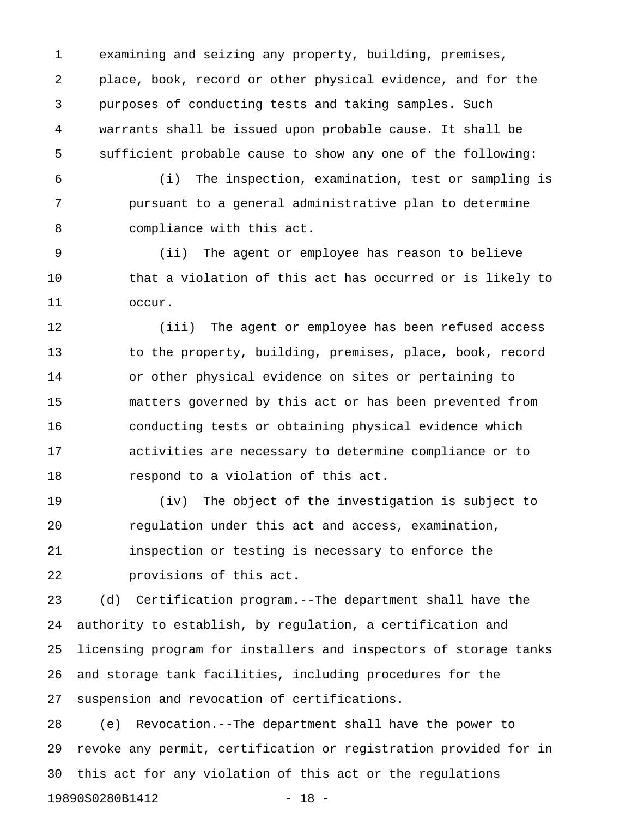1 examining and seizing any property, building, premises, 2 place, book, record or other physical evidence, and for the 3 purposes of conducting tests and taking samples. Such 4 warrants shall be issued upon probable cause. It shall be 5 sufficient probable cause to show any one of the following:

6 (i) The inspection, examination, test or sampling is 7 pursuant to a general administrative plan to determine 8 compliance with this act.

9 (ii) The agent or employee has reason to believe 10 that a violation of this act has occurred or is likely to 11 occur.

12 (iii) The agent or employee has been refused access 13 to the property, building, premises, place, book, record 14 or other physical evidence on sites or pertaining to 15 matters governed by this act or has been prevented from 16 conducting tests or obtaining physical evidence which 17 activities are necessary to determine compliance or to 18 respond to a violation of this act.

19 (iv) The object of the investigation is subject to 20 regulation under this act and access, examination, 21 inspection or testing is necessary to enforce the 22 provisions of this act.

23 (d) Certification program.--The department shall have the 24 authority to establish, by regulation, a certification and 25 licensing program for installers and inspectors of storage tanks 26 and storage tank facilities, including procedures for the 27 suspension and revocation of certifications.

28 (e) Revocation.--The department shall have the power to 29 revoke any permit, certification or registration provided for in 30 this act for any violation of this act or the regulations 19890S0280B1412 - 18 -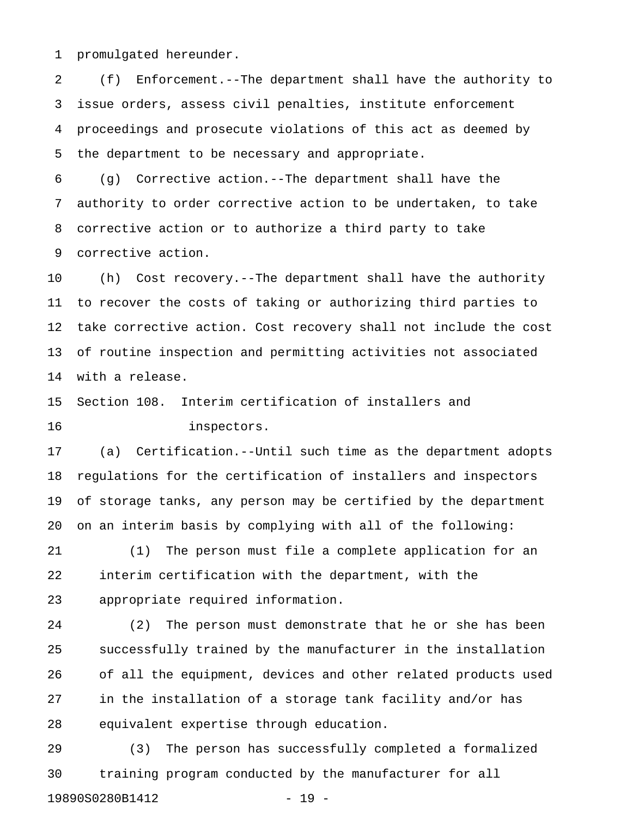1 promulgated hereunder.

2 (f) Enforcement.--The department shall have the authority to 3 issue orders, assess civil penalties, institute enforcement 4 proceedings and prosecute violations of this act as deemed by 5 the department to be necessary and appropriate.

6 (g) Corrective action.--The department shall have the 7 authority to order corrective action to be undertaken, to take 8 corrective action or to authorize a third party to take 9 corrective action.

10 (h) Cost recovery.--The department shall have the authority 11 to recover the costs of taking or authorizing third parties to 12 take corrective action. Cost recovery shall not include the cost 13 of routine inspection and permitting activities not associated 14 with a release.

15 Section 108. Interim certification of installers and 16 inspectors.

17 (a) Certification.--Until such time as the department adopts 18 regulations for the certification of installers and inspectors 19 of storage tanks, any person may be certified by the department 20 on an interim basis by complying with all of the following:

21 (1) The person must file a complete application for an 22 interim certification with the department, with the 23 appropriate required information.

24 (2) The person must demonstrate that he or she has been 25 successfully trained by the manufacturer in the installation 26 of all the equipment, devices and other related products used 27 in the installation of a storage tank facility and/or has 28 equivalent expertise through education.

29 (3) The person has successfully completed a formalized 30 training program conducted by the manufacturer for all 19890S0280B1412 - 19 -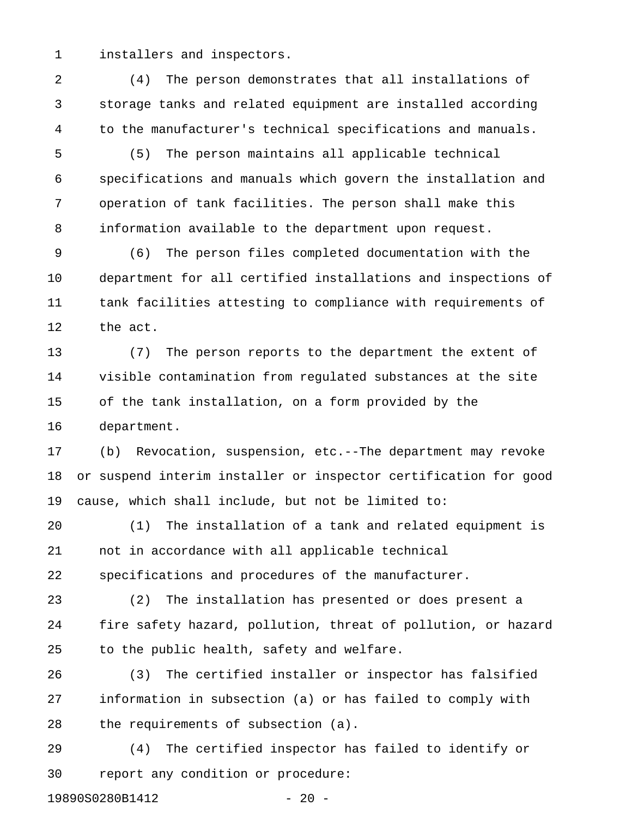1 installers and inspectors.

2 (4) The person demonstrates that all installations of 3 storage tanks and related equipment are installed according 4 to the manufacturer's technical specifications and manuals.

- 5 (5) The person maintains all applicable technical 6 specifications and manuals which govern the installation and 7 operation of tank facilities. The person shall make this 8 information available to the department upon request.
- 9 (6) The person files completed documentation with the 10 department for all certified installations and inspections of 11 tank facilities attesting to compliance with requirements of 12 the act.

13 (7) The person reports to the department the extent of 14 visible contamination from regulated substances at the site 15 of the tank installation, on a form provided by the 16 department.

17 (b) Revocation, suspension, etc.--The department may revoke 18 or suspend interim installer or inspector certification for good 19 cause, which shall include, but not be limited to:

20 (1) The installation of a tank and related equipment is 21 not in accordance with all applicable technical 22 specifications and procedures of the manufacturer.

23 (2) The installation has presented or does present a 24 fire safety hazard, pollution, threat of pollution, or hazard 25 to the public health, safety and welfare.

26 (3) The certified installer or inspector has falsified 27 information in subsection (a) or has failed to comply with 28 the requirements of subsection (a).

29 (4) The certified inspector has failed to identify or 30 report any condition or procedure:

19890S0280B1412 - 20 -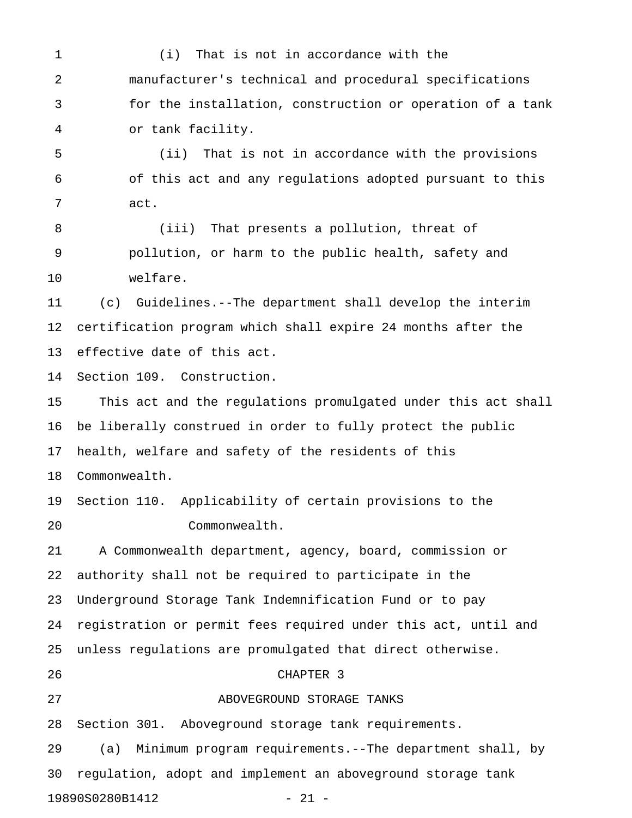1 (i) That is not in accordance with the 2 manufacturer's technical and procedural specifications 3 for the installation, construction or operation of a tank 4 or tank facility.

5 (ii) That is not in accordance with the provisions 6 of this act and any regulations adopted pursuant to this 7 act.

8 (iii) That presents a pollution, threat of 9 pollution, or harm to the public health, safety and 10 welfare.

11 (c) Guidelines.--The department shall develop the interim 12 certification program which shall expire 24 months after the 13 effective date of this act.

14 Section 109. Construction.

15 This act and the regulations promulgated under this act shall 16 be liberally construed in order to fully protect the public 17 health, welfare and safety of the residents of this 18 Commonwealth.

19 Section 110. Applicability of certain provisions to the 20 Commonwealth.

21 A Commonwealth department, agency, board, commission or 22 authority shall not be required to participate in the 23 Underground Storage Tank Indemnification Fund or to pay 24 registration or permit fees required under this act, until and 25 unless regulations are promulgated that direct otherwise. 26 CHAPTER 3 27 ABOVEGROUND STORAGE TANKS

28 Section 301. Aboveground storage tank requirements.

29 (a) Minimum program requirements.--The department shall, by 30 regulation, adopt and implement an aboveground storage tank 19890S0280B1412 - 21 -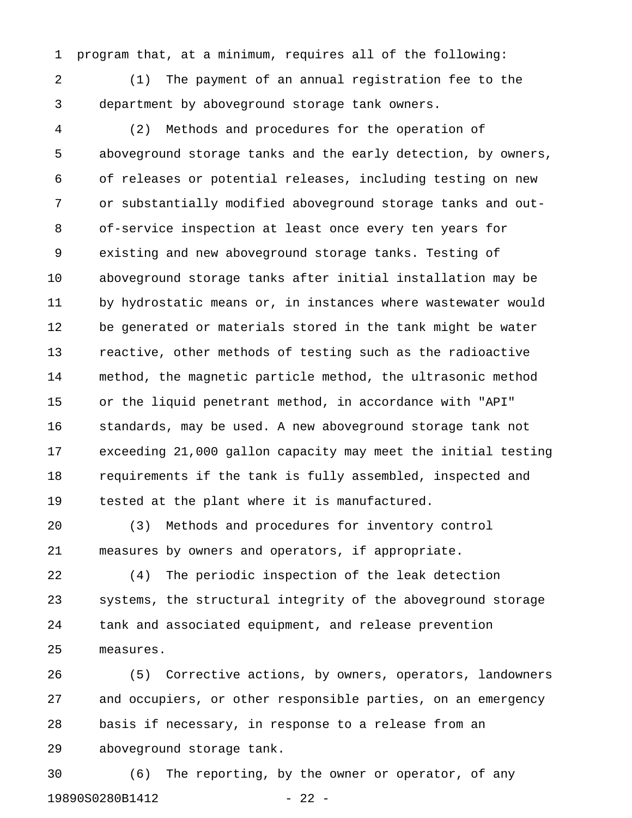1 program that, at a minimum, requires all of the following:

2 (1) The payment of an annual registration fee to the 3 department by aboveground storage tank owners.

4 (2) Methods and procedures for the operation of 5 aboveground storage tanks and the early detection, by owners, 6 of releases or potential releases, including testing on new 7 or substantially modified aboveground storage tanks and out-8 of-service inspection at least once every ten years for 9 existing and new aboveground storage tanks. Testing of 10 aboveground storage tanks after initial installation may be 11 by hydrostatic means or, in instances where wastewater would 12 be generated or materials stored in the tank might be water 13 reactive, other methods of testing such as the radioactive 14 method, the magnetic particle method, the ultrasonic method 15 or the liquid penetrant method, in accordance with "API" 16 standards, may be used. A new aboveground storage tank not 17 exceeding 21,000 gallon capacity may meet the initial testing 18 requirements if the tank is fully assembled, inspected and 19 tested at the plant where it is manufactured.

20 (3) Methods and procedures for inventory control 21 measures by owners and operators, if appropriate.

22 (4) The periodic inspection of the leak detection 23 systems, the structural integrity of the aboveground storage 24 tank and associated equipment, and release prevention 25 measures.

26 (5) Corrective actions, by owners, operators, landowners 27 and occupiers, or other responsible parties, on an emergency 28 basis if necessary, in response to a release from an 29 aboveground storage tank.

30 (6) The reporting, by the owner or operator, of any 19890S0280B1412 - 22 -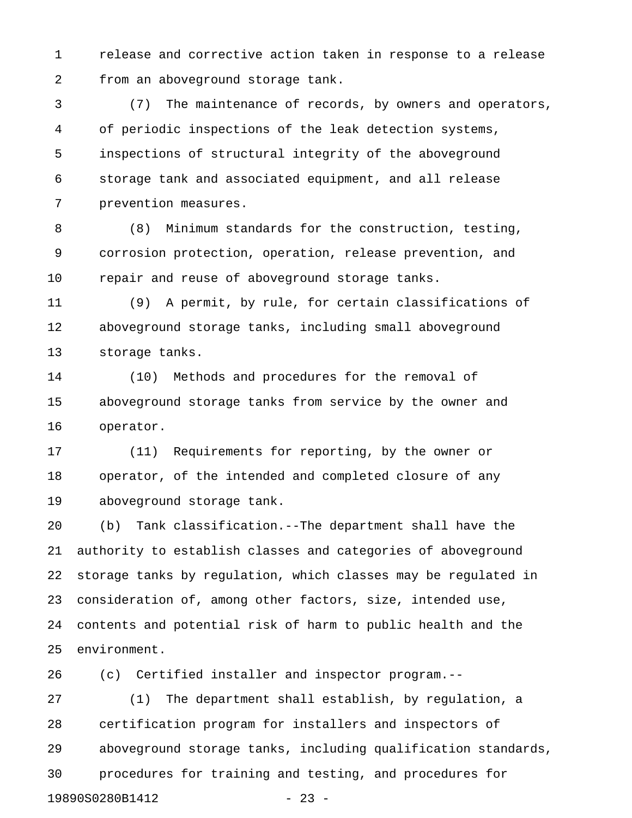1 release and corrective action taken in response to a release 2 from an aboveground storage tank.

3 (7) The maintenance of records, by owners and operators, 4 of periodic inspections of the leak detection systems, 5 inspections of structural integrity of the aboveground 6 storage tank and associated equipment, and all release 7 prevention measures.

8 (8) Minimum standards for the construction, testing, 9 corrosion protection, operation, release prevention, and 10 repair and reuse of aboveground storage tanks.

11 (9) A permit, by rule, for certain classifications of 12 aboveground storage tanks, including small aboveground 13 storage tanks.

14 (10) Methods and procedures for the removal of 15 aboveground storage tanks from service by the owner and 16 operator.

17 (11) Requirements for reporting, by the owner or 18 operator, of the intended and completed closure of any 19 aboveground storage tank.

20 (b) Tank classification.--The department shall have the 21 authority to establish classes and categories of aboveground 22 storage tanks by regulation, which classes may be regulated in 23 consideration of, among other factors, size, intended use, 24 contents and potential risk of harm to public health and the 25 environment.

26 (c) Certified installer and inspector program.--

27 (1) The department shall establish, by regulation, a 28 certification program for installers and inspectors of 29 aboveground storage tanks, including qualification standards, 30 procedures for training and testing, and procedures for 19890S0280B1412 - 23 -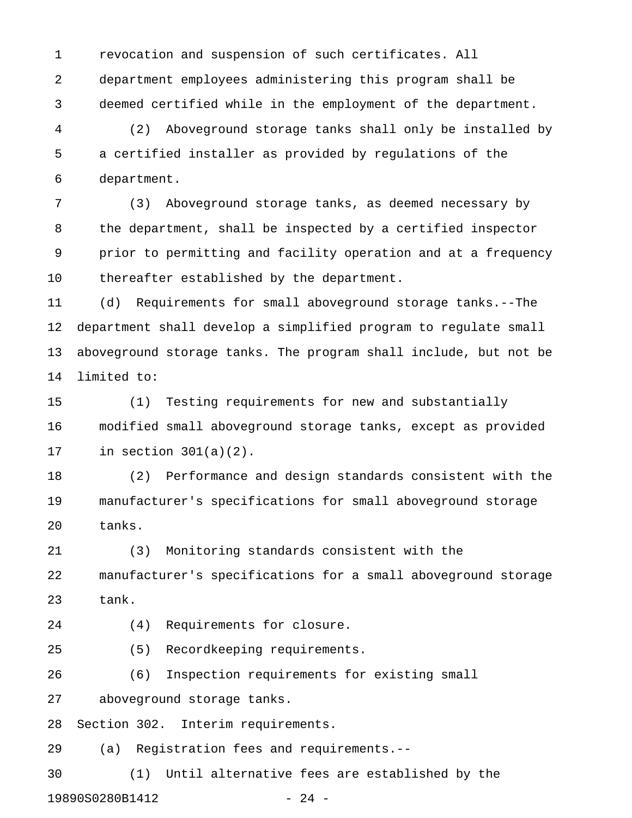1 revocation and suspension of such certificates. All 2 department employees administering this program shall be 3 deemed certified while in the employment of the department.

4 (2) Aboveground storage tanks shall only be installed by 5 a certified installer as provided by regulations of the 6 department.

7 (3) Aboveground storage tanks, as deemed necessary by 8 the department, shall be inspected by a certified inspector 9 prior to permitting and facility operation and at a frequency 10 thereafter established by the department.

11 (d) Requirements for small aboveground storage tanks.--The 12 department shall develop a simplified program to regulate small 13 aboveground storage tanks. The program shall include, but not be 14 limited to:

15 (1) Testing requirements for new and substantially 16 modified small aboveground storage tanks, except as provided 17 in section 301(a)(2).

18 (2) Performance and design standards consistent with the 19 manufacturer's specifications for small aboveground storage 20 tanks.

21 (3) Monitoring standards consistent with the 22 manufacturer's specifications for a small aboveground storage 23 tank.

24 (4) Requirements for closure.

25 (5) Recordkeeping requirements.

26 (6) Inspection requirements for existing small

27 aboveground storage tanks.

28 Section 302. Interim requirements.

29 (a) Registration fees and requirements.--

30 (1) Until alternative fees are established by the 19890S0280B1412 - 24 -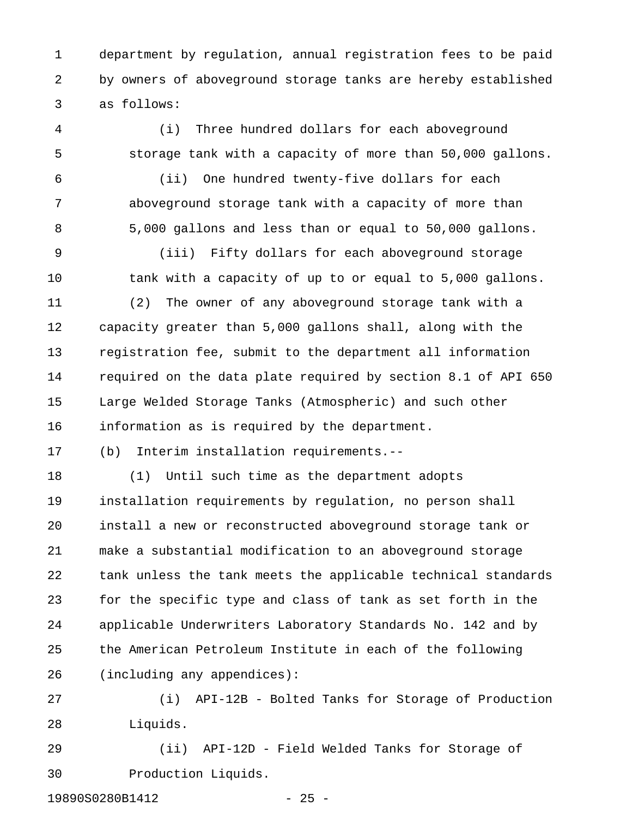1 department by regulation, annual registration fees to be paid 2 by owners of aboveground storage tanks are hereby established 3 as follows:

4 (i) Three hundred dollars for each aboveground 5 storage tank with a capacity of more than 50,000 gallons.

6 (ii) One hundred twenty-five dollars for each 7 aboveground storage tank with a capacity of more than 8 5,000 gallons and less than or equal to 50,000 gallons.

9 (iii) Fifty dollars for each aboveground storage 10 tank with a capacity of up to or equal to 5,000 gallons.

11 (2) The owner of any aboveground storage tank with a 12 capacity greater than 5,000 gallons shall, along with the 13 registration fee, submit to the department all information 14 required on the data plate required by section 8.1 of API 650 15 Large Welded Storage Tanks (Atmospheric) and such other 16 information as is required by the department.

17 (b) Interim installation requirements.--

18 (1) Until such time as the department adopts 19 installation requirements by regulation, no person shall 20 install a new or reconstructed aboveground storage tank or 21 make a substantial modification to an aboveground storage 22 tank unless the tank meets the applicable technical standards 23 for the specific type and class of tank as set forth in the 24 applicable Underwriters Laboratory Standards No. 142 and by 25 the American Petroleum Institute in each of the following 26 (including any appendices):

27 (i) API-12B - Bolted Tanks for Storage of Production 28 Liquids.

29 (ii) API-12D - Field Welded Tanks for Storage of 30 Production Liquids.

19890S0280B1412 - 25 -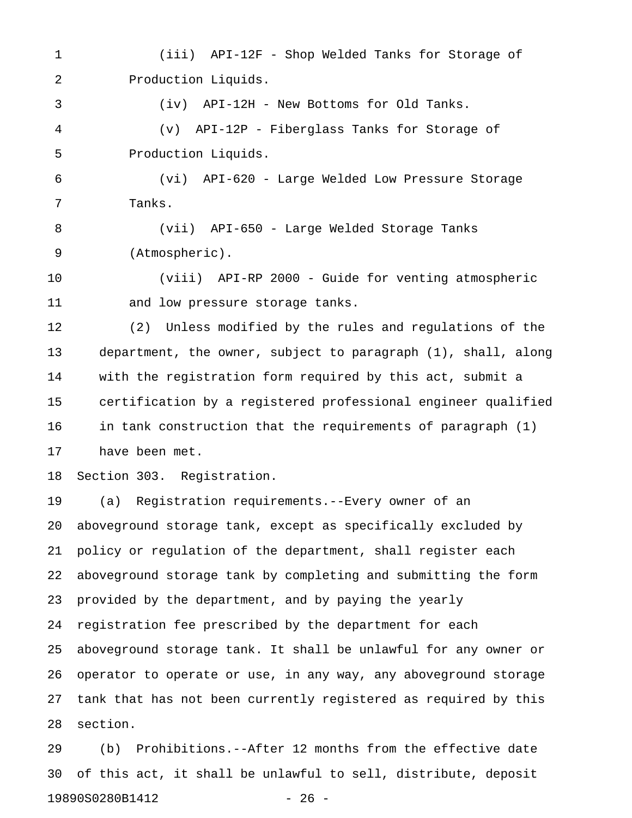1 (iii) API-12F - Shop Welded Tanks for Storage of 2 Production Liquids.

4 (v) API-12P - Fiberglass Tanks for Storage of 5 Production Liquids.

3 (iv) API-12H - New Bottoms for Old Tanks.

6 (vi) API-620 - Large Welded Low Pressure Storage 7 Tanks.

8 (vii) API-650 - Large Welded Storage Tanks 9 (Atmospheric).

10 (viii) API-RP 2000 - Guide for venting atmospheric 11 and low pressure storage tanks.

12 (2) Unless modified by the rules and regulations of the 13 department, the owner, subject to paragraph (1), shall, along 14 with the registration form required by this act, submit a 15 certification by a registered professional engineer qualified 16 in tank construction that the requirements of paragraph (1) 17 have been met.

18 Section 303. Registration.

19 (a) Registration requirements.--Every owner of an 20 aboveground storage tank, except as specifically excluded by 21 policy or regulation of the department, shall register each 22 aboveground storage tank by completing and submitting the form 23 provided by the department, and by paying the yearly 24 registration fee prescribed by the department for each 25 aboveground storage tank. It shall be unlawful for any owner or 26 operator to operate or use, in any way, any aboveground storage 27 tank that has not been currently registered as required by this 28 section.

29 (b) Prohibitions.--After 12 months from the effective date 30 of this act, it shall be unlawful to sell, distribute, deposit 19890S0280B1412 - 26 -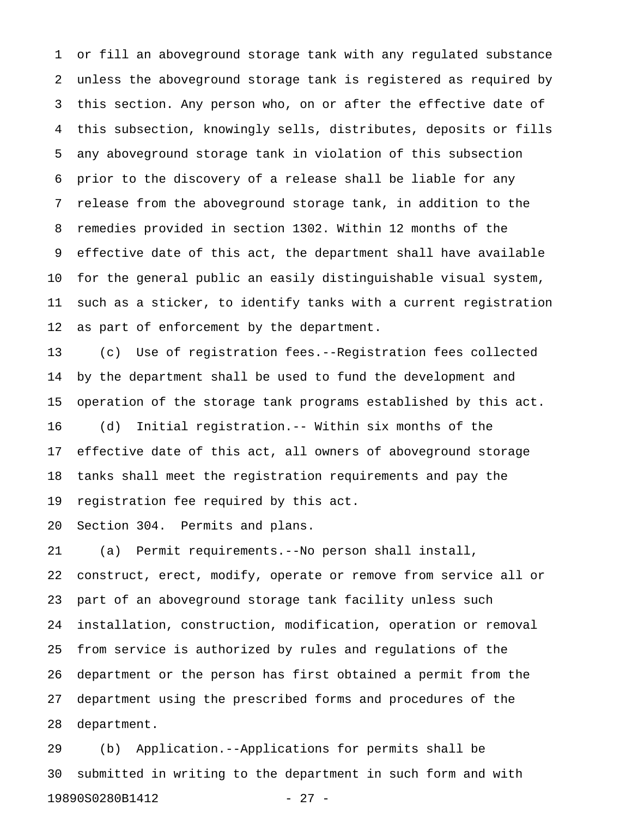1 or fill an aboveground storage tank with any regulated substance 2 unless the aboveground storage tank is registered as required by 3 this section. Any person who, on or after the effective date of 4 this subsection, knowingly sells, distributes, deposits or fills 5 any aboveground storage tank in violation of this subsection 6 prior to the discovery of a release shall be liable for any 7 release from the aboveground storage tank, in addition to the 8 remedies provided in section 1302. Within 12 months of the 9 effective date of this act, the department shall have available 10 for the general public an easily distinguishable visual system, 11 such as a sticker, to identify tanks with a current registration 12 as part of enforcement by the department.

13 (c) Use of registration fees.--Registration fees collected 14 by the department shall be used to fund the development and 15 operation of the storage tank programs established by this act. 16 (d) Initial registration.-- Within six months of the 17 effective date of this act, all owners of aboveground storage 18 tanks shall meet the registration requirements and pay the 19 registration fee required by this act.

20 Section 304. Permits and plans.

21 (a) Permit requirements.--No person shall install, 22 construct, erect, modify, operate or remove from service all or 23 part of an aboveground storage tank facility unless such 24 installation, construction, modification, operation or removal 25 from service is authorized by rules and regulations of the 26 department or the person has first obtained a permit from the 27 department using the prescribed forms and procedures of the 28 department.

29 (b) Application.--Applications for permits shall be 30 submitted in writing to the department in such form and with 19890S0280B1412 - 27 -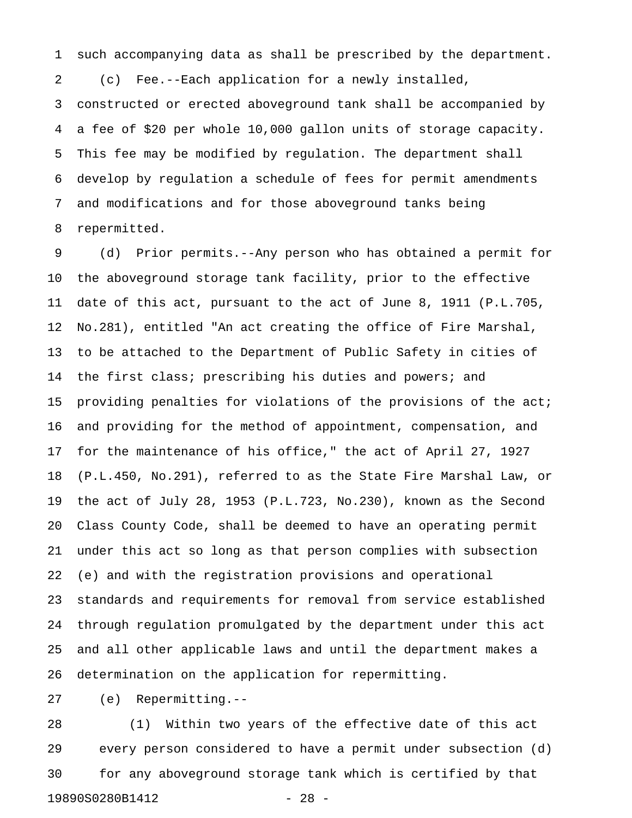1 such accompanying data as shall be prescribed by the department. 2 (c) Fee.--Each application for a newly installed, 3 constructed or erected aboveground tank shall be accompanied by 4 a fee of \$20 per whole 10,000 gallon units of storage capacity. 5 This fee may be modified by regulation. The department shall 6 develop by regulation a schedule of fees for permit amendments 7 and modifications and for those aboveground tanks being 8 repermitted.

9 (d) Prior permits.--Any person who has obtained a permit for 10 the aboveground storage tank facility, prior to the effective 11 date of this act, pursuant to the act of June 8, 1911 (P.L.705, 12 No.281), entitled "An act creating the office of Fire Marshal, 13 to be attached to the Department of Public Safety in cities of 14 the first class; prescribing his duties and powers; and 15 providing penalties for violations of the provisions of the act; 16 and providing for the method of appointment, compensation, and 17 for the maintenance of his office," the act of April 27, 1927 18 (P.L.450, No.291), referred to as the State Fire Marshal Law, or 19 the act of July 28, 1953 (P.L.723, No.230), known as the Second 20 Class County Code, shall be deemed to have an operating permit 21 under this act so long as that person complies with subsection 22 (e) and with the registration provisions and operational 23 standards and requirements for removal from service established 24 through regulation promulgated by the department under this act 25 and all other applicable laws and until the department makes a 26 determination on the application for repermitting.

27 (e) Repermitting.--

28 (1) Within two years of the effective date of this act 29 every person considered to have a permit under subsection (d) 30 for any aboveground storage tank which is certified by that 19890S0280B1412 - 28 -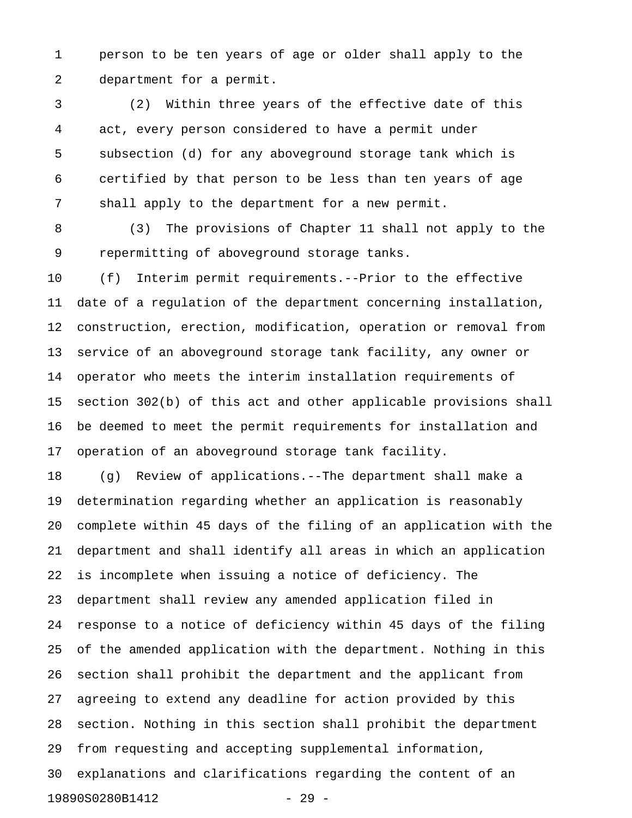1 person to be ten years of age or older shall apply to the 2 department for a permit.

3 (2) Within three years of the effective date of this 4 act, every person considered to have a permit under 5 subsection (d) for any aboveground storage tank which is 6 certified by that person to be less than ten years of age 7 shall apply to the department for a new permit.

8 (3) The provisions of Chapter 11 shall not apply to the 9 repermitting of aboveground storage tanks.

10 (f) Interim permit requirements.--Prior to the effective 11 date of a regulation of the department concerning installation, 12 construction, erection, modification, operation or removal from 13 service of an aboveground storage tank facility, any owner or 14 operator who meets the interim installation requirements of 15 section 302(b) of this act and other applicable provisions shall 16 be deemed to meet the permit requirements for installation and 17 operation of an aboveground storage tank facility.

18 (g) Review of applications.--The department shall make a 19 determination regarding whether an application is reasonably 20 complete within 45 days of the filing of an application with the 21 department and shall identify all areas in which an application 22 is incomplete when issuing a notice of deficiency. The 23 department shall review any amended application filed in 24 response to a notice of deficiency within 45 days of the filing 25 of the amended application with the department. Nothing in this 26 section shall prohibit the department and the applicant from 27 agreeing to extend any deadline for action provided by this 28 section. Nothing in this section shall prohibit the department 29 from requesting and accepting supplemental information, 30 explanations and clarifications regarding the content of an 19890S0280B1412 - 29 -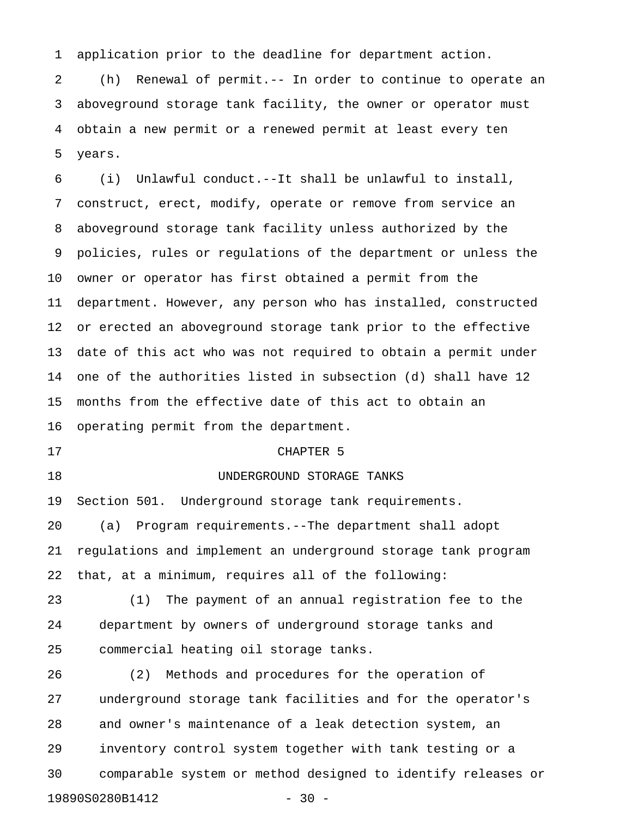1 application prior to the deadline for department action.

2 (h) Renewal of permit.-- In order to continue to operate an 3 aboveground storage tank facility, the owner or operator must 4 obtain a new permit or a renewed permit at least every ten 5 years.

6 (i) Unlawful conduct.--It shall be unlawful to install, 7 construct, erect, modify, operate or remove from service an 8 aboveground storage tank facility unless authorized by the 9 policies, rules or regulations of the department or unless the 10 owner or operator has first obtained a permit from the 11 department. However, any person who has installed, constructed 12 or erected an aboveground storage tank prior to the effective 13 date of this act who was not required to obtain a permit under 14 one of the authorities listed in subsection (d) shall have 12 15 months from the effective date of this act to obtain an 16 operating permit from the department. 17 CHAPTER 5

# 18 UNDERGROUND STORAGE TANKS

19 Section 501. Underground storage tank requirements. 20 (a) Program requirements.--The department shall adopt 21 regulations and implement an underground storage tank program 22 that, at a minimum, requires all of the following:

23 (1) The payment of an annual registration fee to the 24 department by owners of underground storage tanks and 25 commercial heating oil storage tanks.

26 (2) Methods and procedures for the operation of 27 underground storage tank facilities and for the operator's 28 and owner's maintenance of a leak detection system, an 29 inventory control system together with tank testing or a 30 comparable system or method designed to identify releases or 19890S0280B1412 - 30 -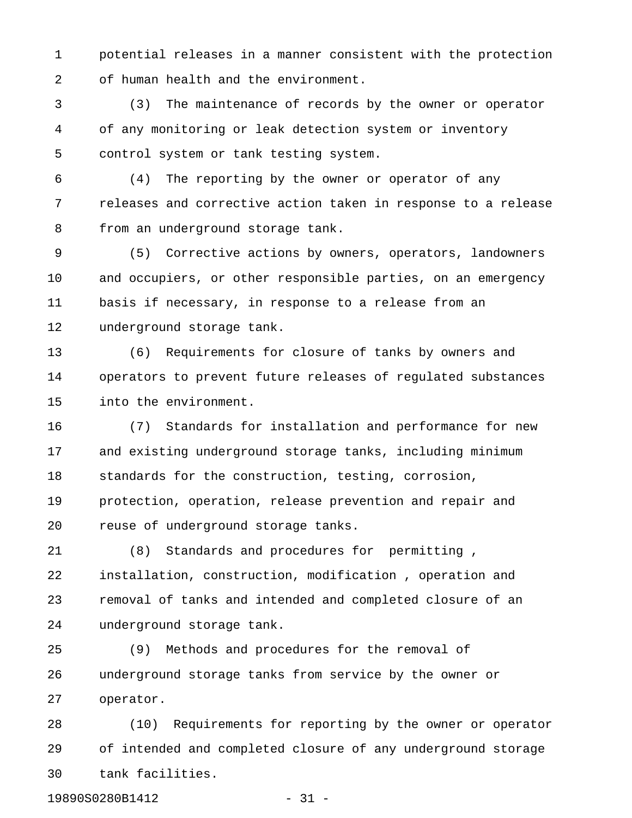1 potential releases in a manner consistent with the protection 2 of human health and the environment.

3 (3) The maintenance of records by the owner or operator 4 of any monitoring or leak detection system or inventory 5 control system or tank testing system.

6 (4) The reporting by the owner or operator of any 7 releases and corrective action taken in response to a release 8 from an underground storage tank.

9 (5) Corrective actions by owners, operators, landowners 10 and occupiers, or other responsible parties, on an emergency 11 basis if necessary, in response to a release from an 12 underground storage tank.

13 (6) Requirements for closure of tanks by owners and 14 operators to prevent future releases of regulated substances 15 into the environment.

16 (7) Standards for installation and performance for new 17 and existing underground storage tanks, including minimum 18 standards for the construction, testing, corrosion, 19 protection, operation, release prevention and repair and 20 reuse of underground storage tanks.

21 (8) Standards and procedures for permitting , 22 installation, construction, modification , operation and 23 removal of tanks and intended and completed closure of an 24 underground storage tank.

25 (9) Methods and procedures for the removal of 26 underground storage tanks from service by the owner or 27 operator.

28 (10) Requirements for reporting by the owner or operator 29 of intended and completed closure of any underground storage 30 tank facilities.

19890S0280B1412 - 31 -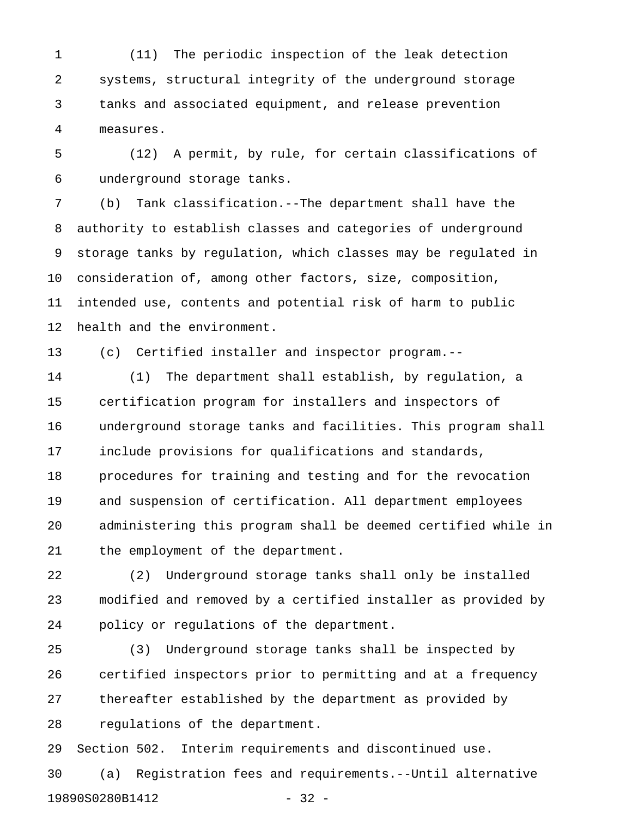1 (11) The periodic inspection of the leak detection 2 systems, structural integrity of the underground storage 3 tanks and associated equipment, and release prevention 4 measures.

5 (12) A permit, by rule, for certain classifications of 6 underground storage tanks.

7 (b) Tank classification.--The department shall have the 8 authority to establish classes and categories of underground 9 storage tanks by regulation, which classes may be regulated in 10 consideration of, among other factors, size, composition, 11 intended use, contents and potential risk of harm to public 12 health and the environment.

13 (c) Certified installer and inspector program.--

14 (1) The department shall establish, by regulation, a 15 certification program for installers and inspectors of 16 underground storage tanks and facilities. This program shall 17 include provisions for qualifications and standards, 18 procedures for training and testing and for the revocation 19 and suspension of certification. All department employees 20 administering this program shall be deemed certified while in 21 the employment of the department.

22 (2) Underground storage tanks shall only be installed 23 modified and removed by a certified installer as provided by 24 policy or regulations of the department.

25 (3) Underground storage tanks shall be inspected by 26 certified inspectors prior to permitting and at a frequency 27 thereafter established by the department as provided by 28 regulations of the department.

29 Section 502. Interim requirements and discontinued use.

30 (a) Registration fees and requirements.--Until alternative 19890S0280B1412 - 32 -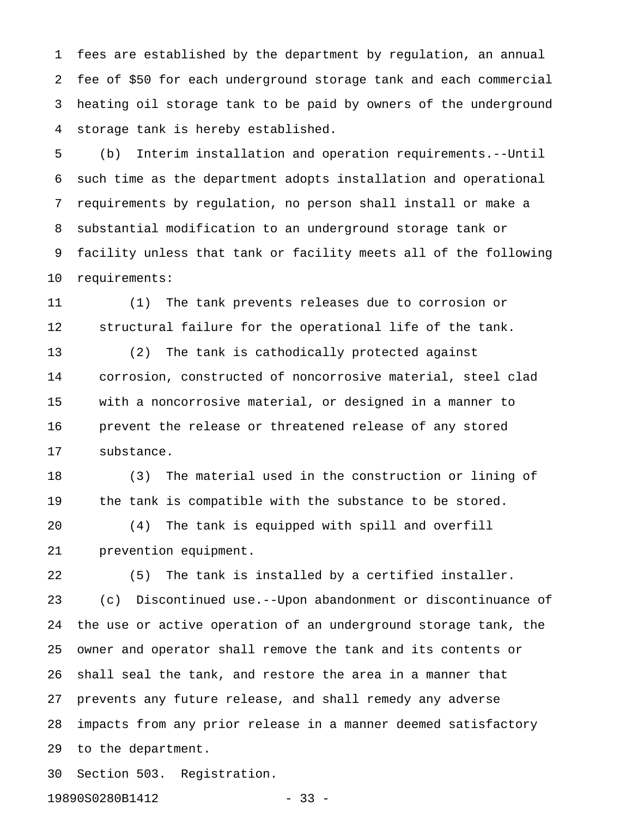1 fees are established by the department by regulation, an annual 2 fee of \$50 for each underground storage tank and each commercial 3 heating oil storage tank to be paid by owners of the underground 4 storage tank is hereby established.

5 (b) Interim installation and operation requirements.--Until 6 such time as the department adopts installation and operational 7 requirements by regulation, no person shall install or make a 8 substantial modification to an underground storage tank or 9 facility unless that tank or facility meets all of the following 10 requirements:

11 (1) The tank prevents releases due to corrosion or 12 structural failure for the operational life of the tank. 13 (2) The tank is cathodically protected against 14 corrosion, constructed of noncorrosive material, steel clad

15 with a noncorrosive material, or designed in a manner to 16 prevent the release or threatened release of any stored 17 substance.

18 (3) The material used in the construction or lining of 19 the tank is compatible with the substance to be stored. 20 (4) The tank is equipped with spill and overfill 21 prevention equipment.

22 (5) The tank is installed by a certified installer. 23 (c) Discontinued use.--Upon abandonment or discontinuance of 24 the use or active operation of an underground storage tank, the 25 owner and operator shall remove the tank and its contents or 26 shall seal the tank, and restore the area in a manner that 27 prevents any future release, and shall remedy any adverse 28 impacts from any prior release in a manner deemed satisfactory 29 to the department.

30 Section 503. Registration.

19890S0280B1412 - 33 -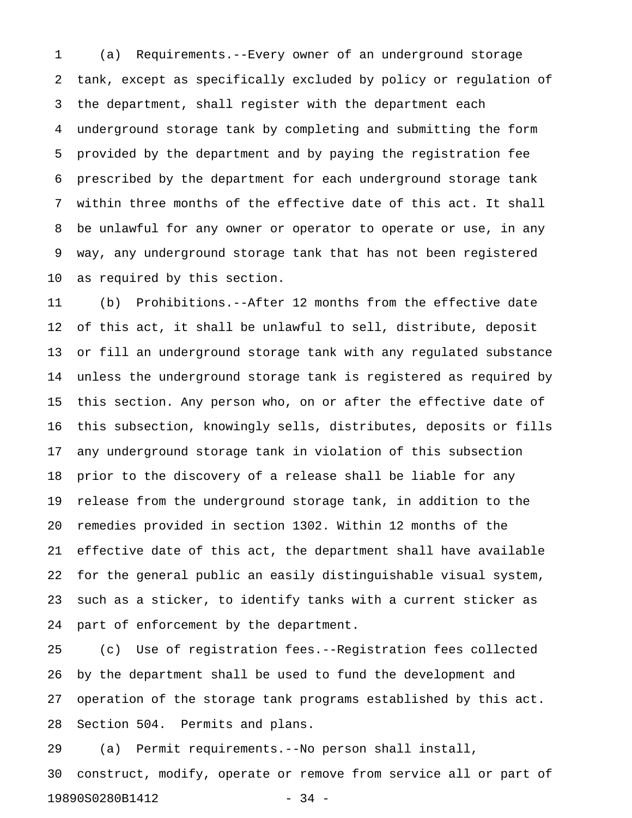1 (a) Requirements.--Every owner of an underground storage 2 tank, except as specifically excluded by policy or regulation of 3 the department, shall register with the department each 4 underground storage tank by completing and submitting the form 5 provided by the department and by paying the registration fee 6 prescribed by the department for each underground storage tank 7 within three months of the effective date of this act. It shall 8 be unlawful for any owner or operator to operate or use, in any 9 way, any underground storage tank that has not been registered 10 as required by this section.

11 (b) Prohibitions.--After 12 months from the effective date 12 of this act, it shall be unlawful to sell, distribute, deposit 13 or fill an underground storage tank with any regulated substance 14 unless the underground storage tank is registered as required by 15 this section. Any person who, on or after the effective date of 16 this subsection, knowingly sells, distributes, deposits or fills 17 any underground storage tank in violation of this subsection 18 prior to the discovery of a release shall be liable for any 19 release from the underground storage tank, in addition to the 20 remedies provided in section 1302. Within 12 months of the 21 effective date of this act, the department shall have available 22 for the general public an easily distinguishable visual system, 23 such as a sticker, to identify tanks with a current sticker as 24 part of enforcement by the department.

25 (c) Use of registration fees.--Registration fees collected 26 by the department shall be used to fund the development and 27 operation of the storage tank programs established by this act. 28 Section 504. Permits and plans.

29 (a) Permit requirements.--No person shall install, 30 construct, modify, operate or remove from service all or part of 19890S0280B1412 - 34 -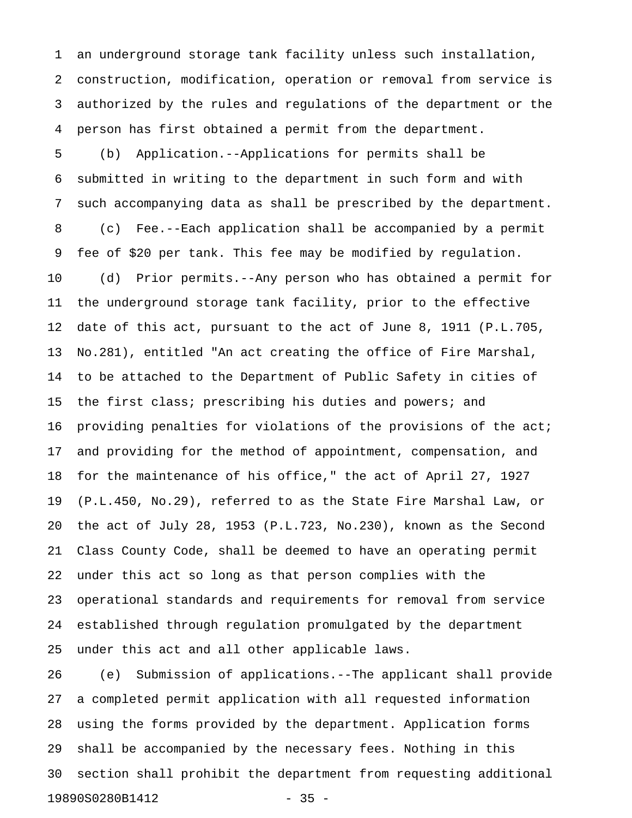1 an underground storage tank facility unless such installation, 2 construction, modification, operation or removal from service is 3 authorized by the rules and regulations of the department or the 4 person has first obtained a permit from the department.

5 (b) Application.--Applications for permits shall be 6 submitted in writing to the department in such form and with 7 such accompanying data as shall be prescribed by the department. 8 (c) Fee.--Each application shall be accompanied by a permit 9 fee of \$20 per tank. This fee may be modified by regulation. 10 (d) Prior permits.--Any person who has obtained a permit for 11 the underground storage tank facility, prior to the effective 12 date of this act, pursuant to the act of June 8, 1911 (P.L.705, 13 No.281), entitled "An act creating the office of Fire Marshal, 14 to be attached to the Department of Public Safety in cities of 15 the first class; prescribing his duties and powers; and 16 providing penalties for violations of the provisions of the act; 17 and providing for the method of appointment, compensation, and 18 for the maintenance of his office," the act of April 27, 1927 19 (P.L.450, No.29), referred to as the State Fire Marshal Law, or 20 the act of July 28, 1953 (P.L.723, No.230), known as the Second 21 Class County Code, shall be deemed to have an operating permit 22 under this act so long as that person complies with the 23 operational standards and requirements for removal from service 24 established through regulation promulgated by the department 25 under this act and all other applicable laws.

26 (e) Submission of applications.--The applicant shall provide 27 a completed permit application with all requested information 28 using the forms provided by the department. Application forms 29 shall be accompanied by the necessary fees. Nothing in this 30 section shall prohibit the department from requesting additional 19890S0280B1412 - 35 -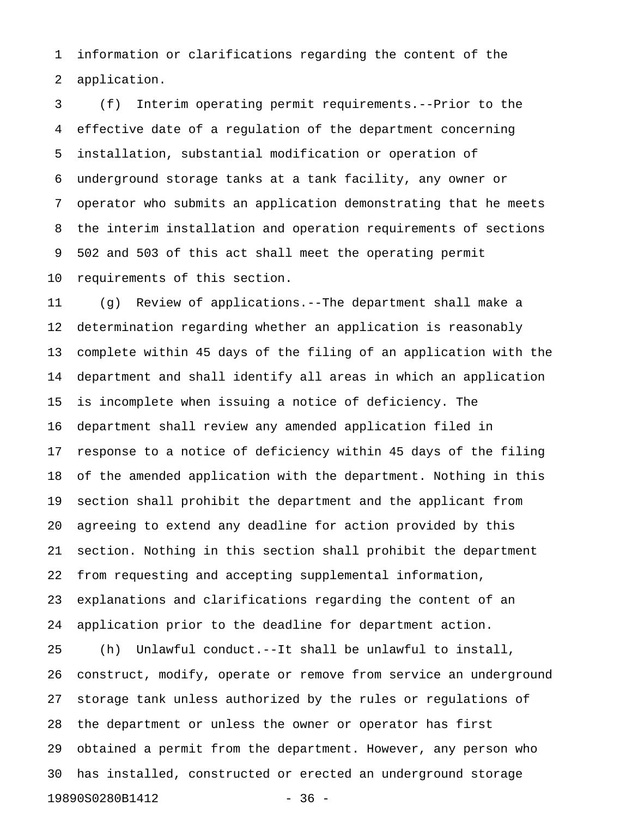1 information or clarifications regarding the content of the 2 application.

3 (f) Interim operating permit requirements.--Prior to the 4 effective date of a regulation of the department concerning 5 installation, substantial modification or operation of 6 underground storage tanks at a tank facility, any owner or 7 operator who submits an application demonstrating that he meets 8 the interim installation and operation requirements of sections 9 502 and 503 of this act shall meet the operating permit 10 requirements of this section.

11 (g) Review of applications.--The department shall make a 12 determination regarding whether an application is reasonably 13 complete within 45 days of the filing of an application with the 14 department and shall identify all areas in which an application 15 is incomplete when issuing a notice of deficiency. The 16 department shall review any amended application filed in 17 response to a notice of deficiency within 45 days of the filing 18 of the amended application with the department. Nothing in this 19 section shall prohibit the department and the applicant from 20 agreeing to extend any deadline for action provided by this 21 section. Nothing in this section shall prohibit the department 22 from requesting and accepting supplemental information, 23 explanations and clarifications regarding the content of an 24 application prior to the deadline for department action.

25 (h) Unlawful conduct.--It shall be unlawful to install, 26 construct, modify, operate or remove from service an underground 27 storage tank unless authorized by the rules or regulations of 28 the department or unless the owner or operator has first 29 obtained a permit from the department. However, any person who 30 has installed, constructed or erected an underground storage 19890S0280B1412 - 36 -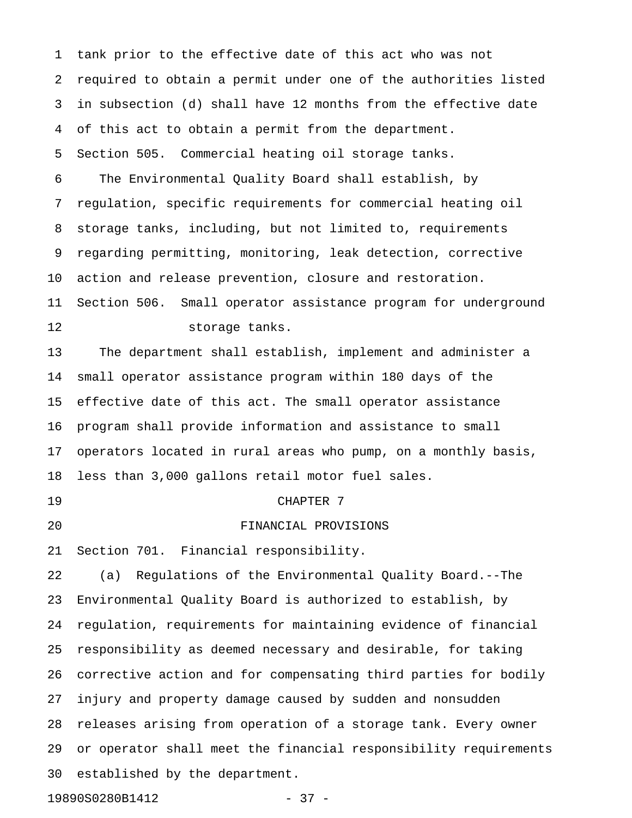1 tank prior to the effective date of this act who was not 2 required to obtain a permit under one of the authorities listed 3 in subsection (d) shall have 12 months from the effective date 4 of this act to obtain a permit from the department. 5 Section 505. Commercial heating oil storage tanks. 6 The Environmental Quality Board shall establish, by 7 regulation, specific requirements for commercial heating oil 8 storage tanks, including, but not limited to, requirements 9 regarding permitting, monitoring, leak detection, corrective 10 action and release prevention, closure and restoration. 11 Section 506. Small operator assistance program for underground 12 storage tanks. 13 The department shall establish, implement and administer a 14 small operator assistance program within 180 days of the 15 effective date of this act. The small operator assistance 16 program shall provide information and assistance to small 17 operators located in rural areas who pump, on a monthly basis, 18 less than 3,000 gallons retail motor fuel sales. 19 CHAPTER 7 20 FINANCIAL PROVISIONS 21 Section 701. Financial responsibility. 22 (a) Regulations of the Environmental Quality Board.--The 23 Environmental Quality Board is authorized to establish, by 24 regulation, requirements for maintaining evidence of financial 25 responsibility as deemed necessary and desirable, for taking 26 corrective action and for compensating third parties for bodily 27 injury and property damage caused by sudden and nonsudden 28 releases arising from operation of a storage tank. Every owner 29 or operator shall meet the financial responsibility requirements 30 established by the department.

19890S0280B1412 - 37 -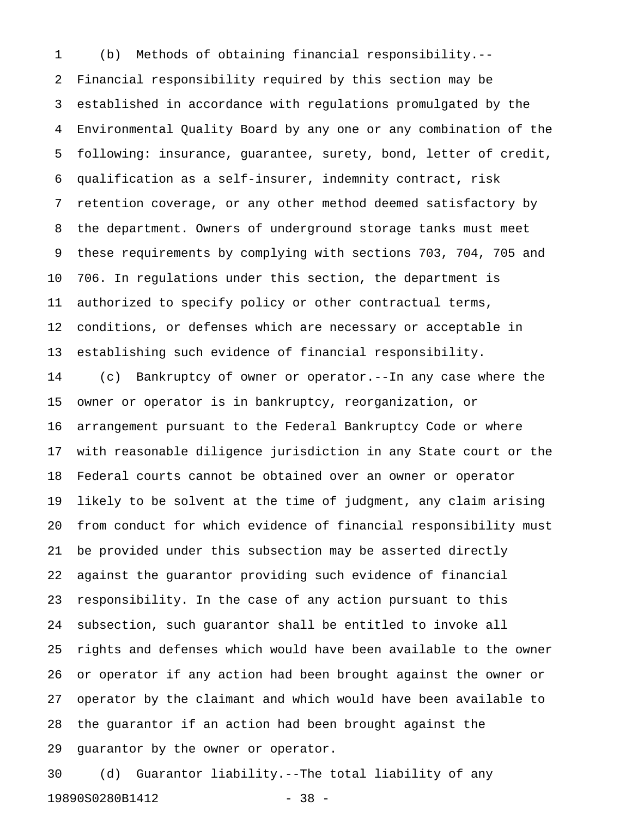1 (b) Methods of obtaining financial responsibility.-- 2 Financial responsibility required by this section may be 3 established in accordance with regulations promulgated by the 4 Environmental Quality Board by any one or any combination of the 5 following: insurance, guarantee, surety, bond, letter of credit, 6 qualification as a self-insurer, indemnity contract, risk 7 retention coverage, or any other method deemed satisfactory by 8 the department. Owners of underground storage tanks must meet 9 these requirements by complying with sections 703, 704, 705 and 10 706. In regulations under this section, the department is 11 authorized to specify policy or other contractual terms, 12 conditions, or defenses which are necessary or acceptable in 13 establishing such evidence of financial responsibility. 14 (c) Bankruptcy of owner or operator.--In any case where the 15 owner or operator is in bankruptcy, reorganization, or 16 arrangement pursuant to the Federal Bankruptcy Code or where 17 with reasonable diligence jurisdiction in any State court or the 18 Federal courts cannot be obtained over an owner or operator 19 likely to be solvent at the time of judgment, any claim arising 20 from conduct for which evidence of financial responsibility must 21 be provided under this subsection may be asserted directly 22 against the guarantor providing such evidence of financial 23 responsibility. In the case of any action pursuant to this 24 subsection, such guarantor shall be entitled to invoke all

25 rights and defenses which would have been available to the owner 26 or operator if any action had been brought against the owner or 27 operator by the claimant and which would have been available to 28 the guarantor if an action had been brought against the 29 guarantor by the owner or operator.

30 (d) Guarantor liability.--The total liability of any 19890S0280B1412 - 38 -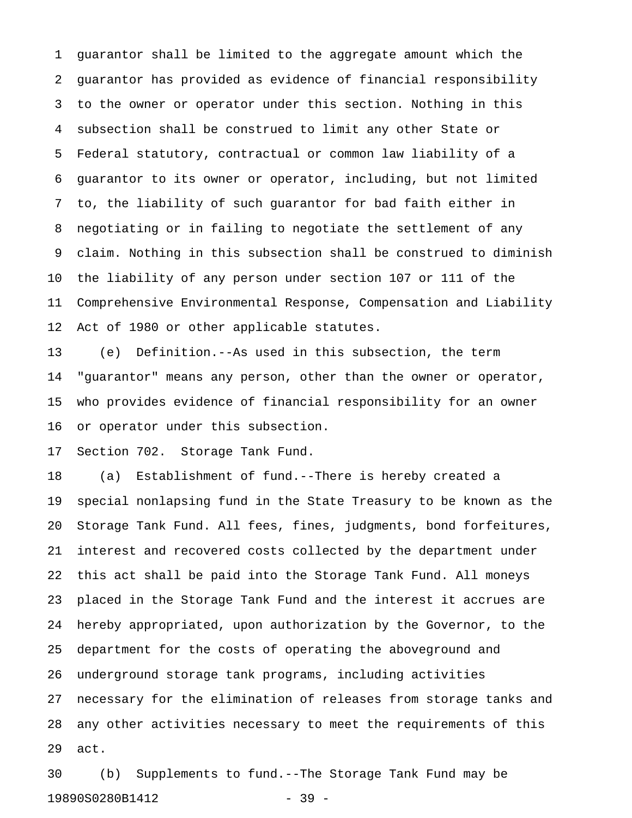1 guarantor shall be limited to the aggregate amount which the 2 guarantor has provided as evidence of financial responsibility 3 to the owner or operator under this section. Nothing in this 4 subsection shall be construed to limit any other State or 5 Federal statutory, contractual or common law liability of a 6 guarantor to its owner or operator, including, but not limited 7 to, the liability of such guarantor for bad faith either in 8 negotiating or in failing to negotiate the settlement of any 9 claim. Nothing in this subsection shall be construed to diminish 10 the liability of any person under section 107 or 111 of the 11 Comprehensive Environmental Response, Compensation and Liability 12 Act of 1980 or other applicable statutes.

13 (e) Definition.--As used in this subsection, the term 14 "guarantor" means any person, other than the owner or operator, 15 who provides evidence of financial responsibility for an owner 16 or operator under this subsection.

17 Section 702. Storage Tank Fund.

18 (a) Establishment of fund.--There is hereby created a 19 special nonlapsing fund in the State Treasury to be known as the 20 Storage Tank Fund. All fees, fines, judgments, bond forfeitures, 21 interest and recovered costs collected by the department under 22 this act shall be paid into the Storage Tank Fund. All moneys 23 placed in the Storage Tank Fund and the interest it accrues are 24 hereby appropriated, upon authorization by the Governor, to the 25 department for the costs of operating the aboveground and 26 underground storage tank programs, including activities 27 necessary for the elimination of releases from storage tanks and 28 any other activities necessary to meet the requirements of this 29 act.

30 (b) Supplements to fund.--The Storage Tank Fund may be 19890S0280B1412 - 39 -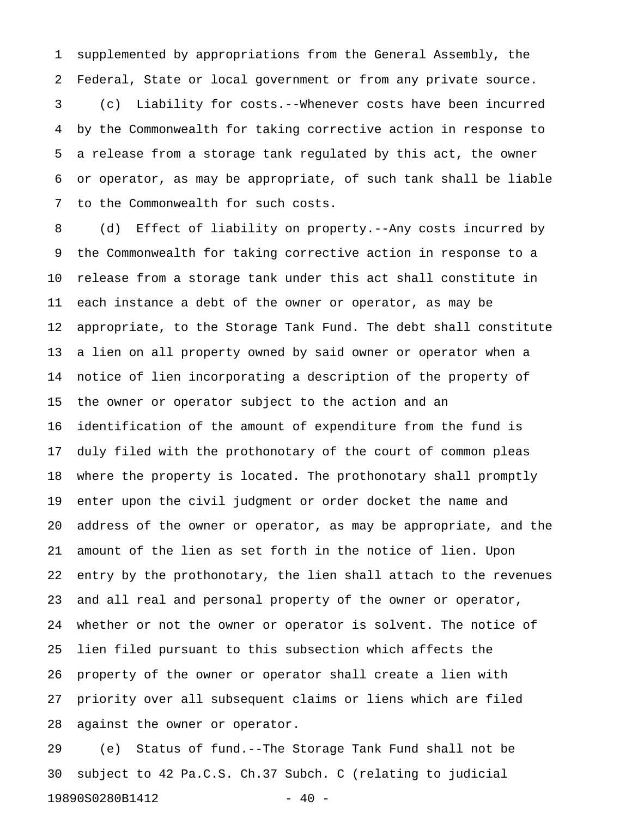1 supplemented by appropriations from the General Assembly, the 2 Federal, State or local government or from any private source.

3 (c) Liability for costs.--Whenever costs have been incurred 4 by the Commonwealth for taking corrective action in response to 5 a release from a storage tank regulated by this act, the owner 6 or operator, as may be appropriate, of such tank shall be liable 7 to the Commonwealth for such costs.

8 (d) Effect of liability on property.--Any costs incurred by 9 the Commonwealth for taking corrective action in response to a 10 release from a storage tank under this act shall constitute in 11 each instance a debt of the owner or operator, as may be 12 appropriate, to the Storage Tank Fund. The debt shall constitute 13 a lien on all property owned by said owner or operator when a 14 notice of lien incorporating a description of the property of 15 the owner or operator subject to the action and an 16 identification of the amount of expenditure from the fund is 17 duly filed with the prothonotary of the court of common pleas 18 where the property is located. The prothonotary shall promptly 19 enter upon the civil judgment or order docket the name and 20 address of the owner or operator, as may be appropriate, and the 21 amount of the lien as set forth in the notice of lien. Upon 22 entry by the prothonotary, the lien shall attach to the revenues 23 and all real and personal property of the owner or operator, 24 whether or not the owner or operator is solvent. The notice of 25 lien filed pursuant to this subsection which affects the 26 property of the owner or operator shall create a lien with 27 priority over all subsequent claims or liens which are filed 28 against the owner or operator.

29 (e) Status of fund.--The Storage Tank Fund shall not be 30 subject to 42 Pa.C.S. Ch.37 Subch. C (relating to judicial 19890S0280B1412 - 40 -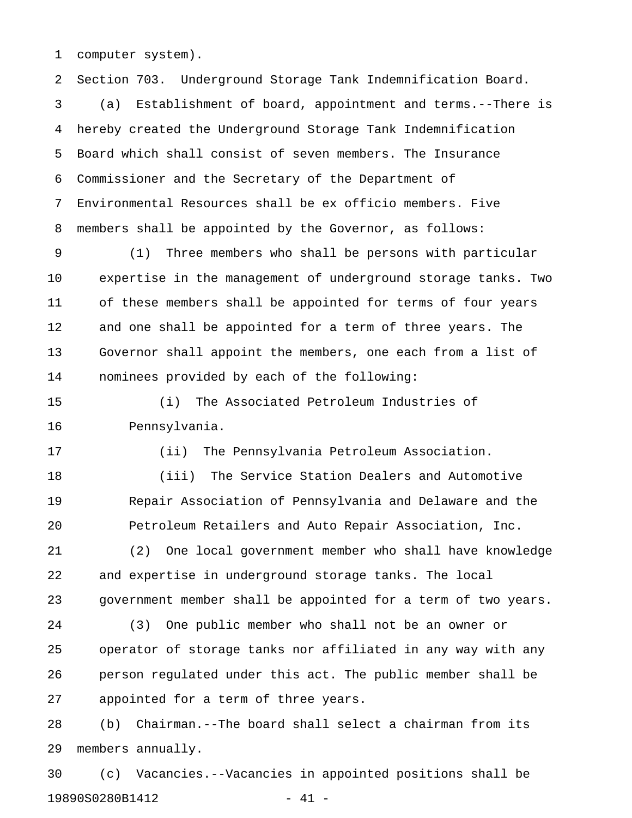1 computer system).

2 Section 703. Underground Storage Tank Indemnification Board. 3 (a) Establishment of board, appointment and terms.--There is 4 hereby created the Underground Storage Tank Indemnification 5 Board which shall consist of seven members. The Insurance 6 Commissioner and the Secretary of the Department of 7 Environmental Resources shall be ex officio members. Five 8 members shall be appointed by the Governor, as follows:

9 (1) Three members who shall be persons with particular 10 expertise in the management of underground storage tanks. Two 11 of these members shall be appointed for terms of four years 12 and one shall be appointed for a term of three years. The 13 Governor shall appoint the members, one each from a list of 14 nominees provided by each of the following:

15 (i) The Associated Petroleum Industries of 16 Pennsylvania.

17 (ii) The Pennsylvania Petroleum Association.

18 (iii) The Service Station Dealers and Automotive 19 Repair Association of Pennsylvania and Delaware and the 20 Petroleum Retailers and Auto Repair Association, Inc.

21 (2) One local government member who shall have knowledge 22 and expertise in underground storage tanks. The local 23 government member shall be appointed for a term of two years.

24 (3) One public member who shall not be an owner or 25 operator of storage tanks nor affiliated in any way with any 26 person regulated under this act. The public member shall be 27 appointed for a term of three years.

28 (b) Chairman.--The board shall select a chairman from its 29 members annually.

30 (c) Vacancies.--Vacancies in appointed positions shall be 19890S0280B1412 - 41 -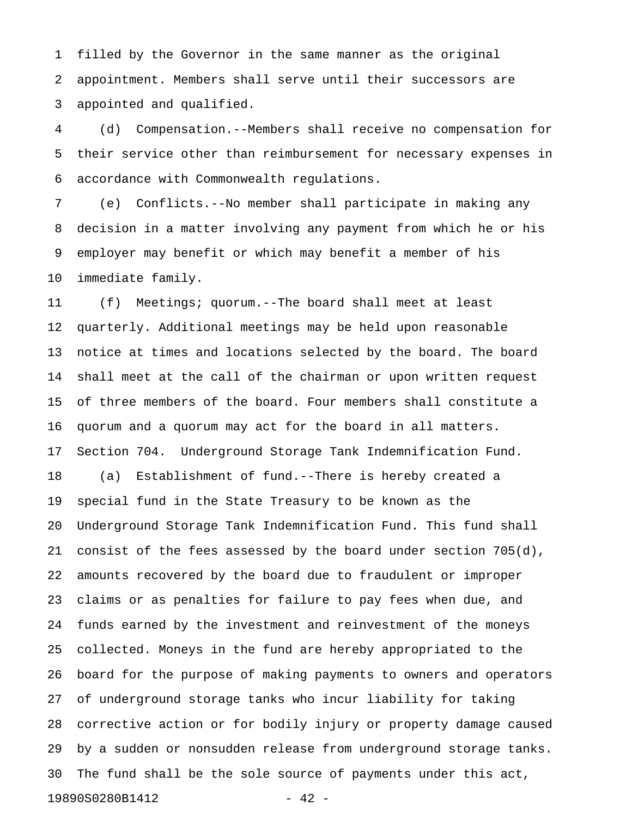1 filled by the Governor in the same manner as the original 2 appointment. Members shall serve until their successors are 3 appointed and qualified.

4 (d) Compensation.--Members shall receive no compensation for 5 their service other than reimbursement for necessary expenses in 6 accordance with Commonwealth regulations.

7 (e) Conflicts.--No member shall participate in making any 8 decision in a matter involving any payment from which he or his 9 employer may benefit or which may benefit a member of his 10 immediate family.

11 (f) Meetings; quorum.--The board shall meet at least 12 quarterly. Additional meetings may be held upon reasonable 13 notice at times and locations selected by the board. The board 14 shall meet at the call of the chairman or upon written request 15 of three members of the board. Four members shall constitute a 16 quorum and a quorum may act for the board in all matters. 17 Section 704. Underground Storage Tank Indemnification Fund. 18 (a) Establishment of fund.--There is hereby created a 19 special fund in the State Treasury to be known as the 20 Underground Storage Tank Indemnification Fund. This fund shall 21 consist of the fees assessed by the board under section 705(d), 22 amounts recovered by the board due to fraudulent or improper 23 claims or as penalties for failure to pay fees when due, and 24 funds earned by the investment and reinvestment of the moneys 25 collected. Moneys in the fund are hereby appropriated to the 26 board for the purpose of making payments to owners and operators 27 of underground storage tanks who incur liability for taking 28 corrective action or for bodily injury or property damage caused 29 by a sudden or nonsudden release from underground storage tanks. 30 The fund shall be the sole source of payments under this act, 19890S0280B1412 - 42 -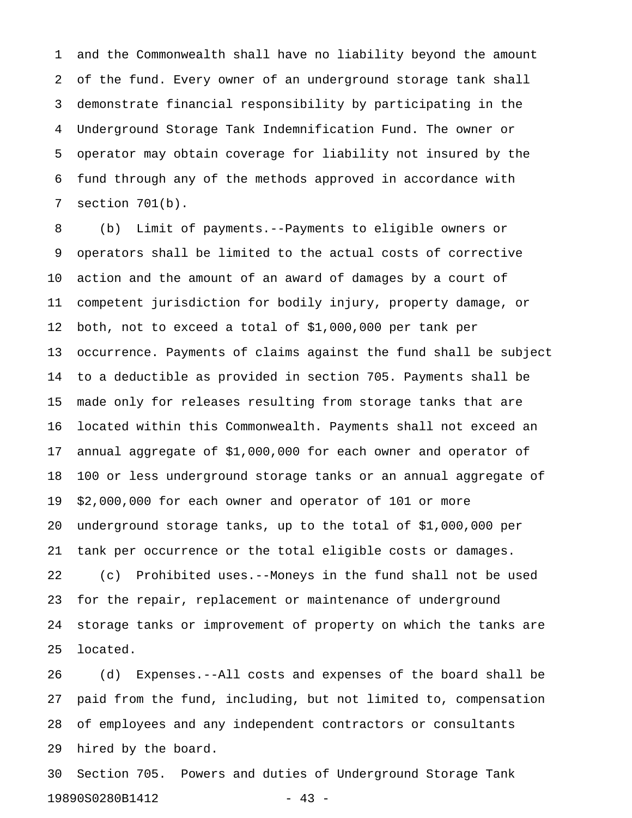1 and the Commonwealth shall have no liability beyond the amount 2 of the fund. Every owner of an underground storage tank shall 3 demonstrate financial responsibility by participating in the 4 Underground Storage Tank Indemnification Fund. The owner or 5 operator may obtain coverage for liability not insured by the 6 fund through any of the methods approved in accordance with 7 section 701(b).

8 (b) Limit of payments.--Payments to eligible owners or 9 operators shall be limited to the actual costs of corrective 10 action and the amount of an award of damages by a court of 11 competent jurisdiction for bodily injury, property damage, or 12 both, not to exceed a total of \$1,000,000 per tank per 13 occurrence. Payments of claims against the fund shall be subject 14 to a deductible as provided in section 705. Payments shall be 15 made only for releases resulting from storage tanks that are 16 located within this Commonwealth. Payments shall not exceed an 17 annual aggregate of \$1,000,000 for each owner and operator of 18 100 or less underground storage tanks or an annual aggregate of 19 \$2,000,000 for each owner and operator of 101 or more 20 underground storage tanks, up to the total of \$1,000,000 per 21 tank per occurrence or the total eligible costs or damages. 22 (c) Prohibited uses.--Moneys in the fund shall not be used 23 for the repair, replacement or maintenance of underground 24 storage tanks or improvement of property on which the tanks are 25 located.

26 (d) Expenses.--All costs and expenses of the board shall be 27 paid from the fund, including, but not limited to, compensation 28 of employees and any independent contractors or consultants 29 hired by the board.

30 Section 705. Powers and duties of Underground Storage Tank 19890S0280B1412 - 43 -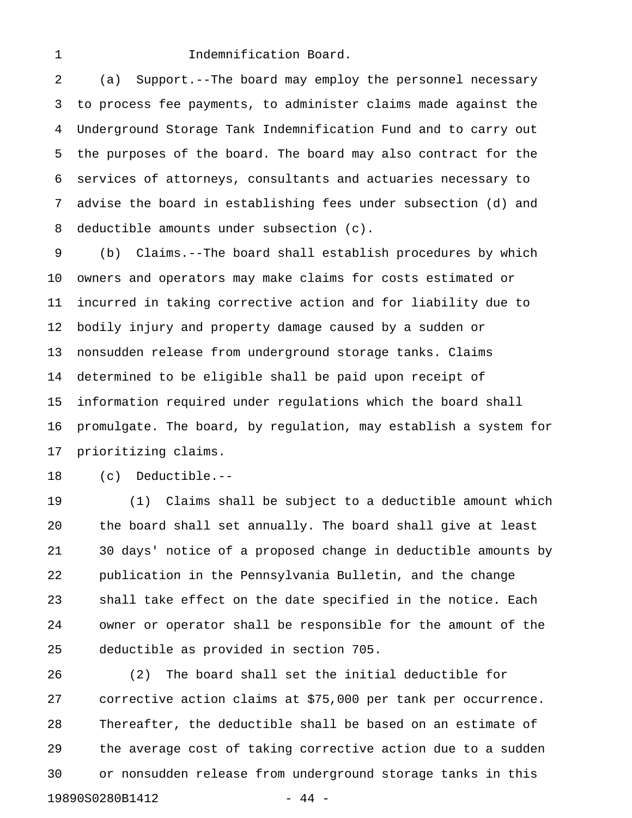#### 1 **Indemnification Board.**

2 (a) Support.--The board may employ the personnel necessary 3 to process fee payments, to administer claims made against the 4 Underground Storage Tank Indemnification Fund and to carry out 5 the purposes of the board. The board may also contract for the 6 services of attorneys, consultants and actuaries necessary to 7 advise the board in establishing fees under subsection (d) and 8 deductible amounts under subsection (c).

9 (b) Claims.--The board shall establish procedures by which 10 owners and operators may make claims for costs estimated or 11 incurred in taking corrective action and for liability due to 12 bodily injury and property damage caused by a sudden or 13 nonsudden release from underground storage tanks. Claims 14 determined to be eligible shall be paid upon receipt of 15 information required under regulations which the board shall 16 promulgate. The board, by regulation, may establish a system for 17 prioritizing claims.

18 (c) Deductible.--

19 (1) Claims shall be subject to a deductible amount which 20 the board shall set annually. The board shall give at least 21 30 days' notice of a proposed change in deductible amounts by 22 publication in the Pennsylvania Bulletin, and the change 23 shall take effect on the date specified in the notice. Each 24 owner or operator shall be responsible for the amount of the 25 deductible as provided in section 705.

26 (2) The board shall set the initial deductible for 27 corrective action claims at \$75,000 per tank per occurrence. 28 Thereafter, the deductible shall be based on an estimate of 29 the average cost of taking corrective action due to a sudden 30 or nonsudden release from underground storage tanks in this 19890S0280B1412 - 44 -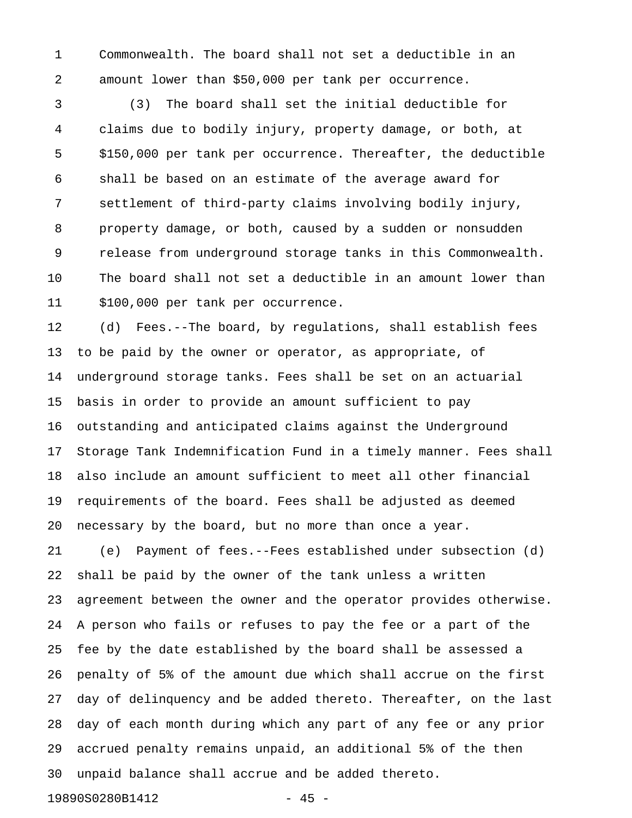1 Commonwealth. The board shall not set a deductible in an 2 amount lower than \$50,000 per tank per occurrence.

3 (3) The board shall set the initial deductible for 4 claims due to bodily injury, property damage, or both, at 5 \$150,000 per tank per occurrence. Thereafter, the deductible 6 shall be based on an estimate of the average award for 7 settlement of third-party claims involving bodily injury, 8 property damage, or both, caused by a sudden or nonsudden 9 release from underground storage tanks in this Commonwealth. 10 The board shall not set a deductible in an amount lower than 11 \$100,000 per tank per occurrence.

12 (d) Fees.--The board, by regulations, shall establish fees 13 to be paid by the owner or operator, as appropriate, of 14 underground storage tanks. Fees shall be set on an actuarial 15 basis in order to provide an amount sufficient to pay 16 outstanding and anticipated claims against the Underground 17 Storage Tank Indemnification Fund in a timely manner. Fees shall 18 also include an amount sufficient to meet all other financial 19 requirements of the board. Fees shall be adjusted as deemed 20 necessary by the board, but no more than once a year.

21 (e) Payment of fees.--Fees established under subsection (d) 22 shall be paid by the owner of the tank unless a written 23 agreement between the owner and the operator provides otherwise. 24 A person who fails or refuses to pay the fee or a part of the 25 fee by the date established by the board shall be assessed a 26 penalty of 5% of the amount due which shall accrue on the first 27 day of delinquency and be added thereto. Thereafter, on the last 28 day of each month during which any part of any fee or any prior 29 accrued penalty remains unpaid, an additional 5% of the then 30 unpaid balance shall accrue and be added thereto.

19890S0280B1412 - 45 -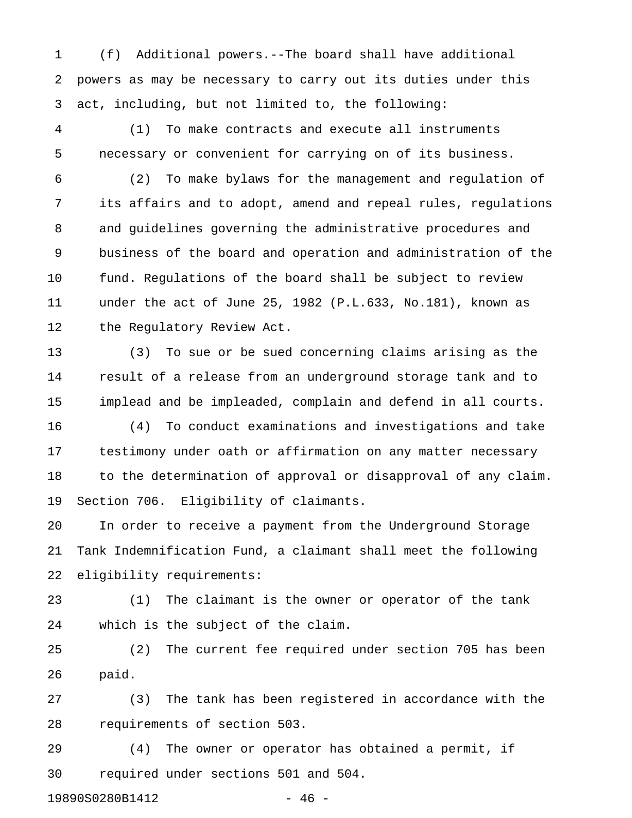1 (f) Additional powers.--The board shall have additional 2 powers as may be necessary to carry out its duties under this 3 act, including, but not limited to, the following:

4 (1) To make contracts and execute all instruments 5 necessary or convenient for carrying on of its business.

6 (2) To make bylaws for the management and regulation of 7 its affairs and to adopt, amend and repeal rules, regulations 8 and guidelines governing the administrative procedures and 9 business of the board and operation and administration of the 10 fund. Regulations of the board shall be subject to review 11 under the act of June 25, 1982 (P.L.633, No.181), known as 12 the Regulatory Review Act.

13 (3) To sue or be sued concerning claims arising as the 14 result of a release from an underground storage tank and to 15 implead and be impleaded, complain and defend in all courts.

16 (4) To conduct examinations and investigations and take 17 testimony under oath or affirmation on any matter necessary 18 to the determination of approval or disapproval of any claim. 19 Section 706. Eligibility of claimants.

20 In order to receive a payment from the Underground Storage 21 Tank Indemnification Fund, a claimant shall meet the following 22 eligibility requirements:

23 (1) The claimant is the owner or operator of the tank 24 which is the subject of the claim.

25 (2) The current fee required under section 705 has been 26 paid.

27 (3) The tank has been registered in accordance with the 28 requirements of section 503.

29 (4) The owner or operator has obtained a permit, if 30 required under sections 501 and 504.

19890S0280B1412 - 46 -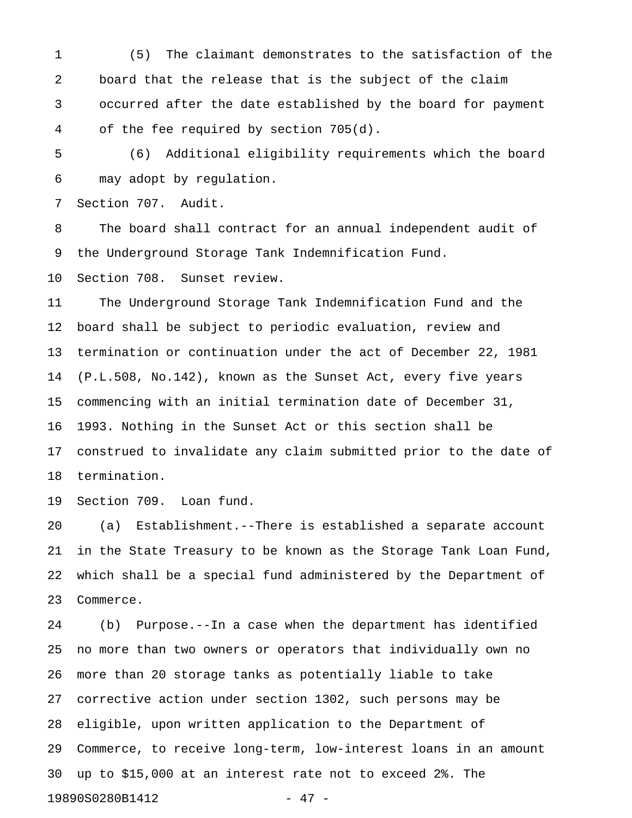1 (5) The claimant demonstrates to the satisfaction of the 2 board that the release that is the subject of the claim 3 occurred after the date established by the board for payment 4 of the fee required by section 705(d).

5 (6) Additional eligibility requirements which the board 6 may adopt by regulation.

7 Section 707. Audit.

8 The board shall contract for an annual independent audit of 9 the Underground Storage Tank Indemnification Fund.

10 Section 708. Sunset review.

11 The Underground Storage Tank Indemnification Fund and the 12 board shall be subject to periodic evaluation, review and 13 termination or continuation under the act of December 22, 1981 14 (P.L.508, No.142), known as the Sunset Act, every five years 15 commencing with an initial termination date of December 31, 16 1993. Nothing in the Sunset Act or this section shall be 17 construed to invalidate any claim submitted prior to the date of 18 termination.

19 Section 709. Loan fund.

20 (a) Establishment.--There is established a separate account 21 in the State Treasury to be known as the Storage Tank Loan Fund, 22 which shall be a special fund administered by the Department of 23 Commerce.

24 (b) Purpose.--In a case when the department has identified 25 no more than two owners or operators that individually own no 26 more than 20 storage tanks as potentially liable to take 27 corrective action under section 1302, such persons may be 28 eligible, upon written application to the Department of 29 Commerce, to receive long-term, low-interest loans in an amount 30 up to \$15,000 at an interest rate not to exceed 2%. The 19890S0280B1412 - 47 -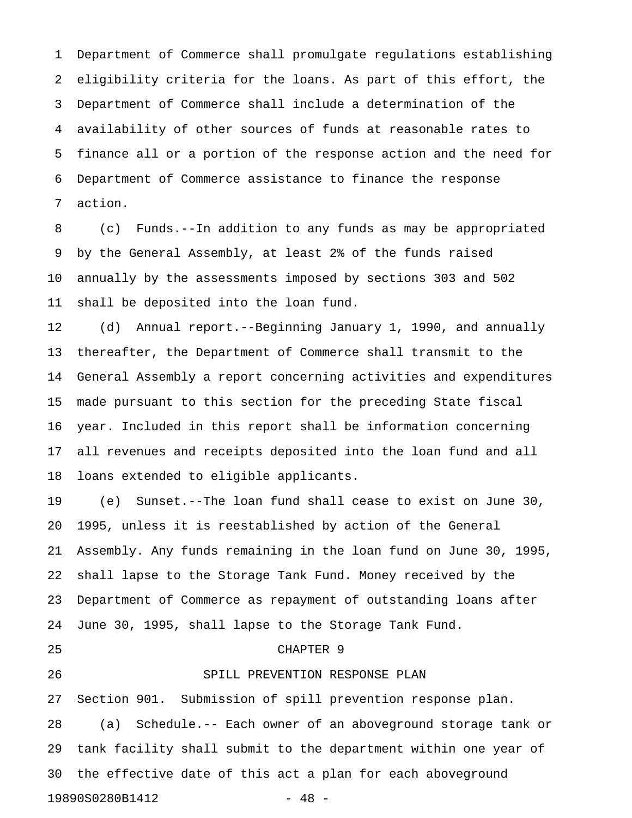1 Department of Commerce shall promulgate regulations establishing 2 eligibility criteria for the loans. As part of this effort, the 3 Department of Commerce shall include a determination of the 4 availability of other sources of funds at reasonable rates to 5 finance all or a portion of the response action and the need for 6 Department of Commerce assistance to finance the response 7 action.

8 (c) Funds.--In addition to any funds as may be appropriated 9 by the General Assembly, at least 2% of the funds raised 10 annually by the assessments imposed by sections 303 and 502 11 shall be deposited into the loan fund.

12 (d) Annual report.--Beginning January 1, 1990, and annually 13 thereafter, the Department of Commerce shall transmit to the 14 General Assembly a report concerning activities and expenditures 15 made pursuant to this section for the preceding State fiscal 16 year. Included in this report shall be information concerning 17 all revenues and receipts deposited into the loan fund and all 18 loans extended to eligible applicants.

19 (e) Sunset.--The loan fund shall cease to exist on June 30, 20 1995, unless it is reestablished by action of the General 21 Assembly. Any funds remaining in the loan fund on June 30, 1995, 22 shall lapse to the Storage Tank Fund. Money received by the 23 Department of Commerce as repayment of outstanding loans after 24 June 30, 1995, shall lapse to the Storage Tank Fund.

#### 25 CHAPTER 9

# 26 SPILL PREVENTION RESPONSE PLAN

27 Section 901. Submission of spill prevention response plan. 28 (a) Schedule.-- Each owner of an aboveground storage tank or 29 tank facility shall submit to the department within one year of 30 the effective date of this act a plan for each aboveground 19890S0280B1412 - 48 -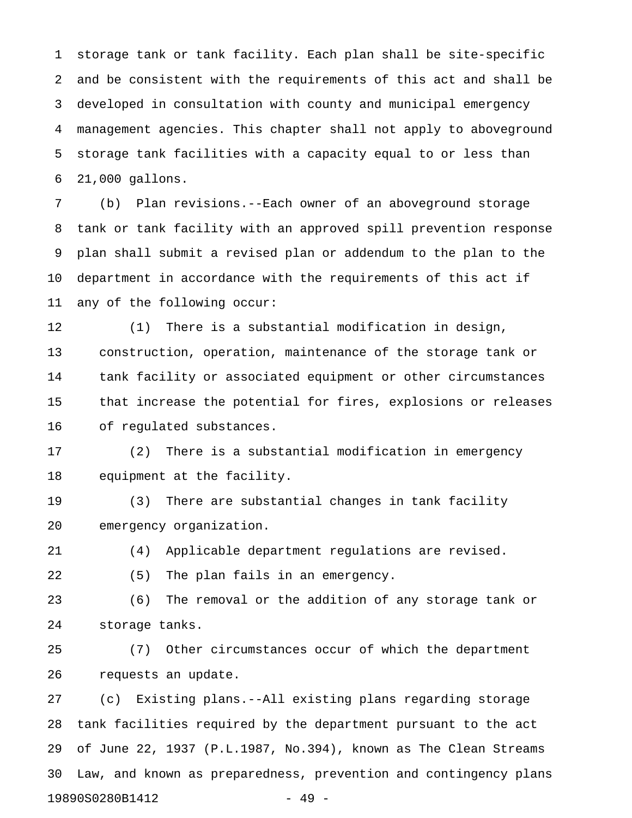1 storage tank or tank facility. Each plan shall be site-specific 2 and be consistent with the requirements of this act and shall be 3 developed in consultation with county and municipal emergency 4 management agencies. This chapter shall not apply to aboveground 5 storage tank facilities with a capacity equal to or less than 6 21,000 gallons.

7 (b) Plan revisions.--Each owner of an aboveground storage 8 tank or tank facility with an approved spill prevention response 9 plan shall submit a revised plan or addendum to the plan to the 10 department in accordance with the requirements of this act if 11 any of the following occur:

12 (1) There is a substantial modification in design, 13 construction, operation, maintenance of the storage tank or 14 tank facility or associated equipment or other circumstances 15 that increase the potential for fires, explosions or releases 16 of regulated substances.

17 (2) There is a substantial modification in emergency 18 equipment at the facility.

19 (3) There are substantial changes in tank facility 20 emergency organization.

21 (4) Applicable department regulations are revised.

22 (5) The plan fails in an emergency.

23 (6) The removal or the addition of any storage tank or 24 storage tanks.

25 (7) Other circumstances occur of which the department 26 requests an update.

27 (c) Existing plans.--All existing plans regarding storage 28 tank facilities required by the department pursuant to the act 29 of June 22, 1937 (P.L.1987, No.394), known as The Clean Streams 30 Law, and known as preparedness, prevention and contingency plans 19890S0280B1412 - 49 -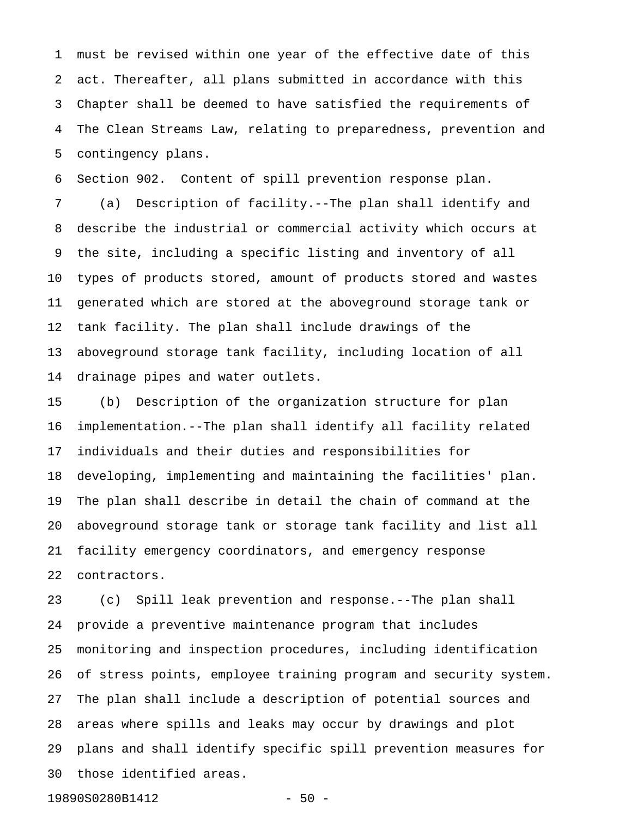1 must be revised within one year of the effective date of this 2 act. Thereafter, all plans submitted in accordance with this 3 Chapter shall be deemed to have satisfied the requirements of 4 The Clean Streams Law, relating to preparedness, prevention and 5 contingency plans.

6 Section 902. Content of spill prevention response plan.

7 (a) Description of facility.--The plan shall identify and 8 describe the industrial or commercial activity which occurs at 9 the site, including a specific listing and inventory of all 10 types of products stored, amount of products stored and wastes 11 generated which are stored at the aboveground storage tank or 12 tank facility. The plan shall include drawings of the 13 aboveground storage tank facility, including location of all 14 drainage pipes and water outlets.

15 (b) Description of the organization structure for plan 16 implementation.--The plan shall identify all facility related 17 individuals and their duties and responsibilities for 18 developing, implementing and maintaining the facilities' plan. 19 The plan shall describe in detail the chain of command at the 20 aboveground storage tank or storage tank facility and list all 21 facility emergency coordinators, and emergency response 22 contractors.

23 (c) Spill leak prevention and response.--The plan shall 24 provide a preventive maintenance program that includes 25 monitoring and inspection procedures, including identification 26 of stress points, employee training program and security system. 27 The plan shall include a description of potential sources and 28 areas where spills and leaks may occur by drawings and plot 29 plans and shall identify specific spill prevention measures for 30 those identified areas.

19890S0280B1412 - 50 -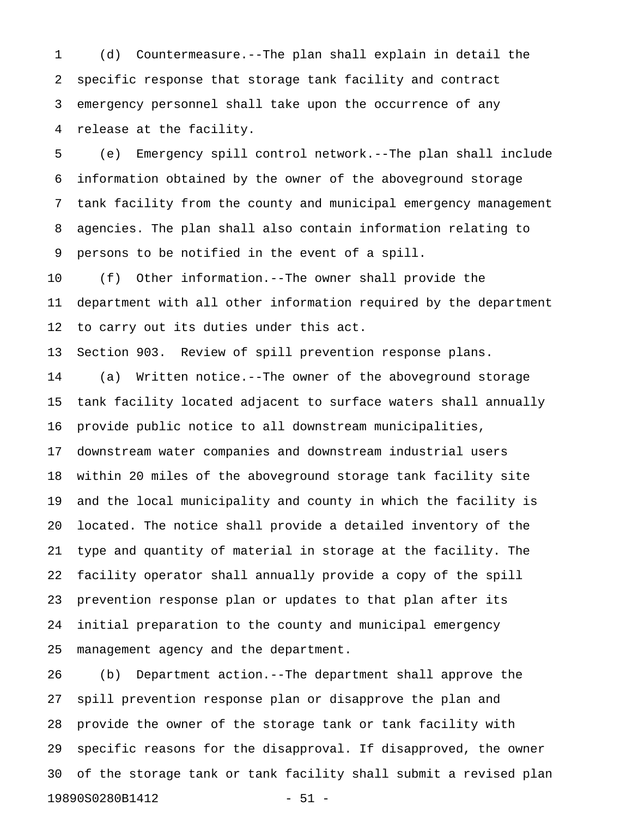1 (d) Countermeasure.--The plan shall explain in detail the 2 specific response that storage tank facility and contract 3 emergency personnel shall take upon the occurrence of any 4 release at the facility.

5 (e) Emergency spill control network.--The plan shall include 6 information obtained by the owner of the aboveground storage 7 tank facility from the county and municipal emergency management 8 agencies. The plan shall also contain information relating to 9 persons to be notified in the event of a spill.

10 (f) Other information.--The owner shall provide the 11 department with all other information required by the department 12 to carry out its duties under this act.

13 Section 903. Review of spill prevention response plans.

14 (a) Written notice.--The owner of the aboveground storage 15 tank facility located adjacent to surface waters shall annually 16 provide public notice to all downstream municipalities, 17 downstream water companies and downstream industrial users 18 within 20 miles of the aboveground storage tank facility site 19 and the local municipality and county in which the facility is 20 located. The notice shall provide a detailed inventory of the 21 type and quantity of material in storage at the facility. The 22 facility operator shall annually provide a copy of the spill 23 prevention response plan or updates to that plan after its 24 initial preparation to the county and municipal emergency 25 management agency and the department.

26 (b) Department action.--The department shall approve the 27 spill prevention response plan or disapprove the plan and 28 provide the owner of the storage tank or tank facility with 29 specific reasons for the disapproval. If disapproved, the owner 30 of the storage tank or tank facility shall submit a revised plan 19890S0280B1412 - 51 -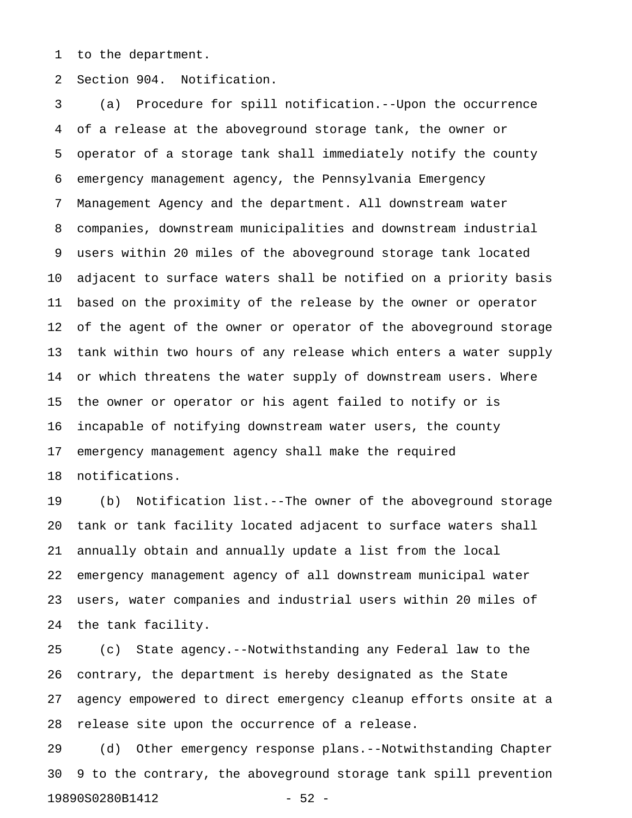1 to the department.

2 Section 904. Notification.

3 (a) Procedure for spill notification.--Upon the occurrence 4 of a release at the aboveground storage tank, the owner or 5 operator of a storage tank shall immediately notify the county 6 emergency management agency, the Pennsylvania Emergency 7 Management Agency and the department. All downstream water 8 companies, downstream municipalities and downstream industrial 9 users within 20 miles of the aboveground storage tank located 10 adjacent to surface waters shall be notified on a priority basis 11 based on the proximity of the release by the owner or operator 12 of the agent of the owner or operator of the aboveground storage 13 tank within two hours of any release which enters a water supply 14 or which threatens the water supply of downstream users. Where 15 the owner or operator or his agent failed to notify or is 16 incapable of notifying downstream water users, the county 17 emergency management agency shall make the required 18 notifications.

19 (b) Notification list.--The owner of the aboveground storage 20 tank or tank facility located adjacent to surface waters shall 21 annually obtain and annually update a list from the local 22 emergency management agency of all downstream municipal water 23 users, water companies and industrial users within 20 miles of 24 the tank facility.

25 (c) State agency.--Notwithstanding any Federal law to the 26 contrary, the department is hereby designated as the State 27 agency empowered to direct emergency cleanup efforts onsite at a 28 release site upon the occurrence of a release.

29 (d) Other emergency response plans.--Notwithstanding Chapter 30 9 to the contrary, the aboveground storage tank spill prevention 19890S0280B1412 - 52 -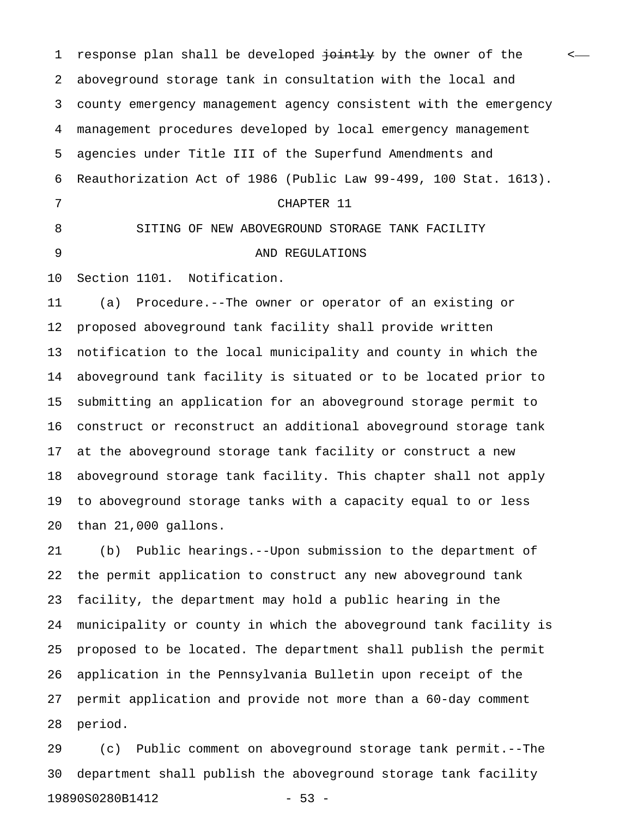1 response plan shall be developed <del>jointly</del> by the owner of the set 2 aboveground storage tank in consultation with the local and 3 county emergency management agency consistent with the emergency 4 management procedures developed by local emergency management 5 agencies under Title III of the Superfund Amendments and 6 Reauthorization Act of 1986 (Public Law 99-499, 100 Stat. 1613). 7 CHAPTER 11 8 SITING OF NEW ABOVEGROUND STORAGE TANK FACILITY 9 AND REGULATIONS 10 Section 1101. Notification.

11 (a) Procedure.--The owner or operator of an existing or 12 proposed aboveground tank facility shall provide written 13 notification to the local municipality and county in which the 14 aboveground tank facility is situated or to be located prior to 15 submitting an application for an aboveground storage permit to 16 construct or reconstruct an additional aboveground storage tank 17 at the aboveground storage tank facility or construct a new 18 aboveground storage tank facility. This chapter shall not apply 19 to aboveground storage tanks with a capacity equal to or less 20 than 21,000 gallons.

21 (b) Public hearings.--Upon submission to the department of 22 the permit application to construct any new aboveground tank 23 facility, the department may hold a public hearing in the 24 municipality or county in which the aboveground tank facility is 25 proposed to be located. The department shall publish the permit 26 application in the Pennsylvania Bulletin upon receipt of the 27 permit application and provide not more than a 60-day comment 28 period.

29 (c) Public comment on aboveground storage tank permit.--The 30 department shall publish the aboveground storage tank facility 19890S0280B1412 - 53 -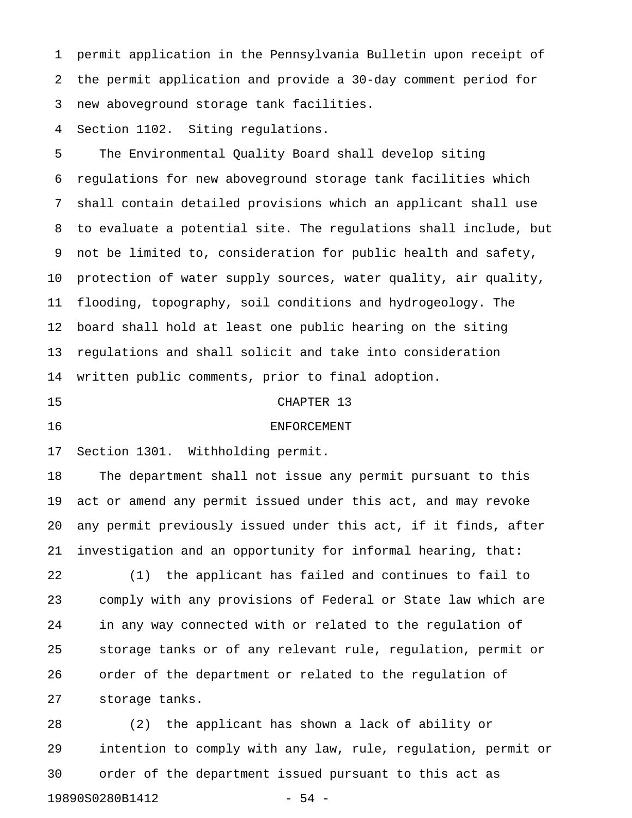1 permit application in the Pennsylvania Bulletin upon receipt of 2 the permit application and provide a 30-day comment period for 3 new aboveground storage tank facilities.

4 Section 1102. Siting regulations.

5 The Environmental Quality Board shall develop siting 6 regulations for new aboveground storage tank facilities which 7 shall contain detailed provisions which an applicant shall use 8 to evaluate a potential site. The regulations shall include, but 9 not be limited to, consideration for public health and safety, 10 protection of water supply sources, water quality, air quality, 11 flooding, topography, soil conditions and hydrogeology. The 12 board shall hold at least one public hearing on the siting 13 regulations and shall solicit and take into consideration 14 written public comments, prior to final adoption.

#### 15 CHAPTER 13

# 16 ENFORCEMENT

17 Section 1301. Withholding permit.

18 The department shall not issue any permit pursuant to this 19 act or amend any permit issued under this act, and may revoke 20 any permit previously issued under this act, if it finds, after 21 investigation and an opportunity for informal hearing, that:

22 (1) the applicant has failed and continues to fail to 23 comply with any provisions of Federal or State law which are 24 in any way connected with or related to the regulation of 25 storage tanks or of any relevant rule, regulation, permit or 26 order of the department or related to the regulation of 27 storage tanks.

28 (2) the applicant has shown a lack of ability or 29 intention to comply with any law, rule, regulation, permit or 30 order of the department issued pursuant to this act as 19890S0280B1412 - 54 -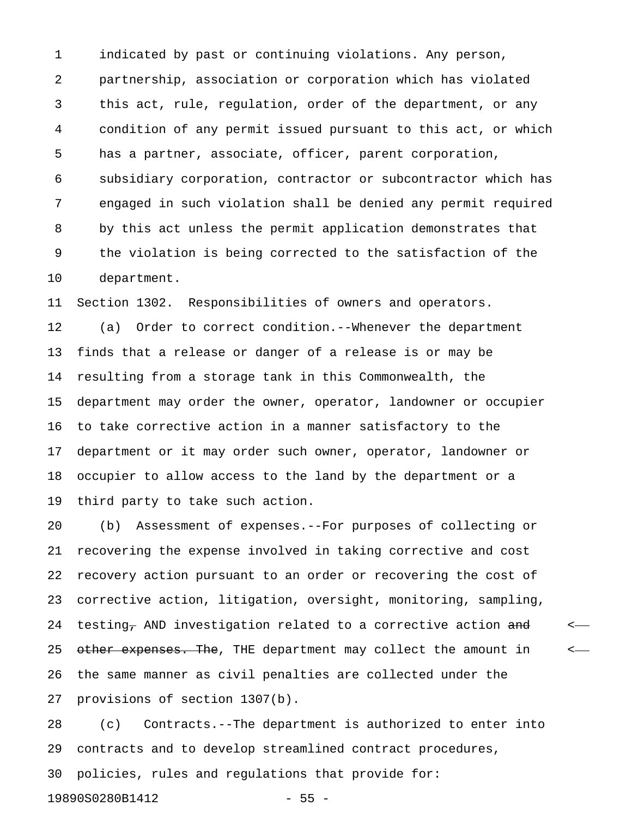1 indicated by past or continuing violations. Any person, 2 partnership, association or corporation which has violated 3 this act, rule, regulation, order of the department, or any 4 condition of any permit issued pursuant to this act, or which 5 has a partner, associate, officer, parent corporation, 6 subsidiary corporation, contractor or subcontractor which has 7 engaged in such violation shall be denied any permit required 8 by this act unless the permit application demonstrates that 9 the violation is being corrected to the satisfaction of the 10 department.

11 Section 1302. Responsibilities of owners and operators. 12 (a) Order to correct condition.--Whenever the department 13 finds that a release or danger of a release is or may be 14 resulting from a storage tank in this Commonwealth, the 15 department may order the owner, operator, landowner or occupier 16 to take corrective action in a manner satisfactory to the 17 department or it may order such owner, operator, landowner or 18 occupier to allow access to the land by the department or a 19 third party to take such action.

20 (b) Assessment of expenses.--For purposes of collecting or 21 recovering the expense involved in taking corrective and cost 22 recovery action pursuant to an order or recovering the cost of 23 corrective action, litigation, oversight, monitoring, sampling, 24 testing<sub>7</sub> AND investigation related to a corrective action  $\frac{1}{2}$  and  $\frac{1}{2}$ 25 other expenses. The, THE department may collect the amount in  $\leftarrow$ 26 the same manner as civil penalties are collected under the 27 provisions of section 1307(b).

28 (c) Contracts.--The department is authorized to enter into 29 contracts and to develop streamlined contract procedures, 30 policies, rules and regulations that provide for: 19890S0280B1412 - 55 -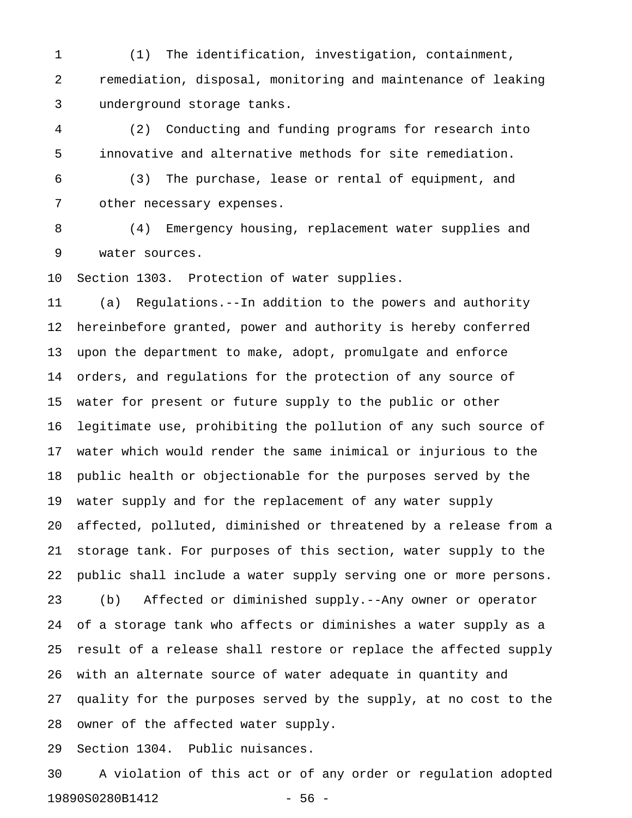1 (1) The identification, investigation, containment, 2 remediation, disposal, monitoring and maintenance of leaking 3 underground storage tanks.

4 (2) Conducting and funding programs for research into 5 innovative and alternative methods for site remediation.

6 (3) The purchase, lease or rental of equipment, and 7 other necessary expenses.

8 (4) Emergency housing, replacement water supplies and 9 water sources.

10 Section 1303. Protection of water supplies.

11 (a) Regulations.--In addition to the powers and authority 12 hereinbefore granted, power and authority is hereby conferred 13 upon the department to make, adopt, promulgate and enforce 14 orders, and regulations for the protection of any source of 15 water for present or future supply to the public or other 16 legitimate use, prohibiting the pollution of any such source of 17 water which would render the same inimical or injurious to the 18 public health or objectionable for the purposes served by the 19 water supply and for the replacement of any water supply 20 affected, polluted, diminished or threatened by a release from a 21 storage tank. For purposes of this section, water supply to the 22 public shall include a water supply serving one or more persons. 23 (b) Affected or diminished supply.--Any owner or operator 24 of a storage tank who affects or diminishes a water supply as a 25 result of a release shall restore or replace the affected supply 26 with an alternate source of water adequate in quantity and 27 quality for the purposes served by the supply, at no cost to the 28 owner of the affected water supply.

29 Section 1304. Public nuisances.

30 A violation of this act or of any order or regulation adopted 19890S0280B1412 - 56 -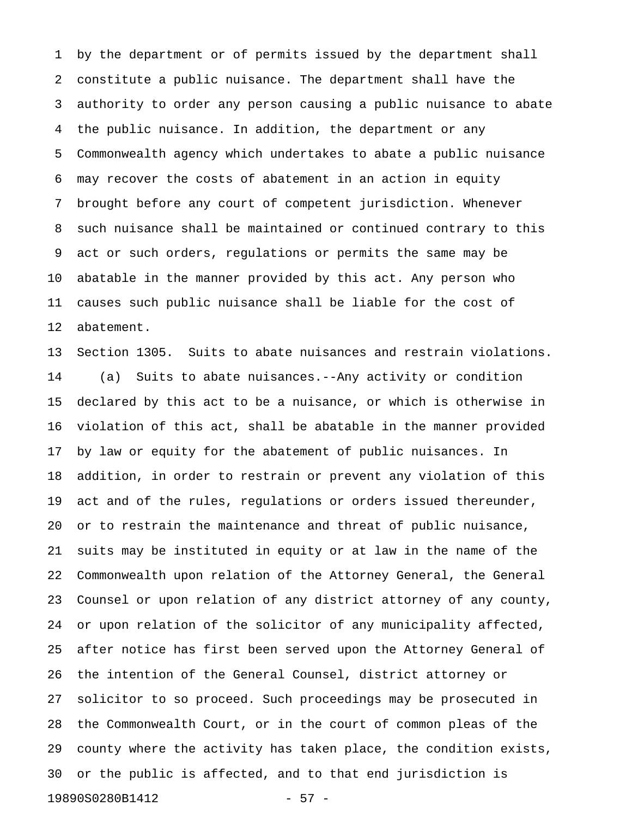1 by the department or of permits issued by the department shall 2 constitute a public nuisance. The department shall have the 3 authority to order any person causing a public nuisance to abate 4 the public nuisance. In addition, the department or any 5 Commonwealth agency which undertakes to abate a public nuisance 6 may recover the costs of abatement in an action in equity 7 brought before any court of competent jurisdiction. Whenever 8 such nuisance shall be maintained or continued contrary to this 9 act or such orders, regulations or permits the same may be 10 abatable in the manner provided by this act. Any person who 11 causes such public nuisance shall be liable for the cost of 12 abatement.

13 Section 1305. Suits to abate nuisances and restrain violations. 14 (a) Suits to abate nuisances.--Any activity or condition 15 declared by this act to be a nuisance, or which is otherwise in 16 violation of this act, shall be abatable in the manner provided 17 by law or equity for the abatement of public nuisances. In 18 addition, in order to restrain or prevent any violation of this 19 act and of the rules, regulations or orders issued thereunder, 20 or to restrain the maintenance and threat of public nuisance, 21 suits may be instituted in equity or at law in the name of the 22 Commonwealth upon relation of the Attorney General, the General 23 Counsel or upon relation of any district attorney of any county, 24 or upon relation of the solicitor of any municipality affected, 25 after notice has first been served upon the Attorney General of 26 the intention of the General Counsel, district attorney or 27 solicitor to so proceed. Such proceedings may be prosecuted in 28 the Commonwealth Court, or in the court of common pleas of the 29 county where the activity has taken place, the condition exists, 30 or the public is affected, and to that end jurisdiction is 19890S0280B1412 - 57 -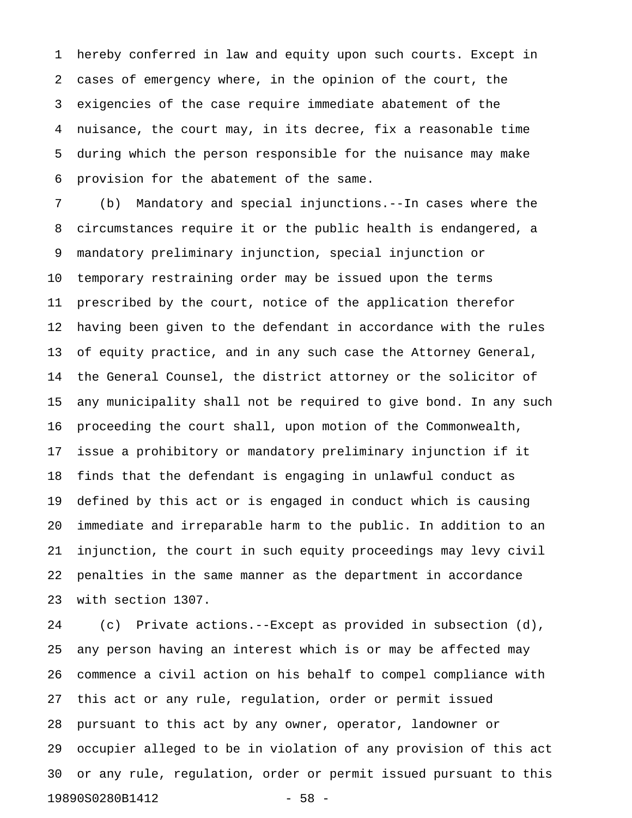1 hereby conferred in law and equity upon such courts. Except in 2 cases of emergency where, in the opinion of the court, the 3 exigencies of the case require immediate abatement of the 4 nuisance, the court may, in its decree, fix a reasonable time 5 during which the person responsible for the nuisance may make 6 provision for the abatement of the same.

7 (b) Mandatory and special injunctions.--In cases where the 8 circumstances require it or the public health is endangered, a 9 mandatory preliminary injunction, special injunction or 10 temporary restraining order may be issued upon the terms 11 prescribed by the court, notice of the application therefor 12 having been given to the defendant in accordance with the rules 13 of equity practice, and in any such case the Attorney General, 14 the General Counsel, the district attorney or the solicitor of 15 any municipality shall not be required to give bond. In any such 16 proceeding the court shall, upon motion of the Commonwealth, 17 issue a prohibitory or mandatory preliminary injunction if it 18 finds that the defendant is engaging in unlawful conduct as 19 defined by this act or is engaged in conduct which is causing 20 immediate and irreparable harm to the public. In addition to an 21 injunction, the court in such equity proceedings may levy civil 22 penalties in the same manner as the department in accordance 23 with section 1307.

24 (c) Private actions.--Except as provided in subsection (d), 25 any person having an interest which is or may be affected may 26 commence a civil action on his behalf to compel compliance with 27 this act or any rule, regulation, order or permit issued 28 pursuant to this act by any owner, operator, landowner or 29 occupier alleged to be in violation of any provision of this act 30 or any rule, regulation, order or permit issued pursuant to this 19890S0280B1412 - 58 -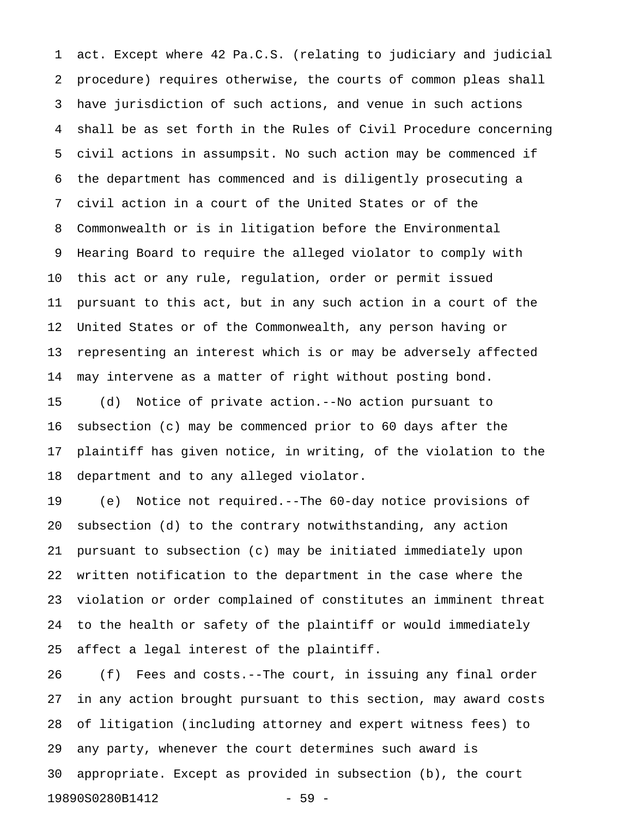1 act. Except where 42 Pa.C.S. (relating to judiciary and judicial 2 procedure) requires otherwise, the courts of common pleas shall 3 have jurisdiction of such actions, and venue in such actions 4 shall be as set forth in the Rules of Civil Procedure concerning 5 civil actions in assumpsit. No such action may be commenced if 6 the department has commenced and is diligently prosecuting a 7 civil action in a court of the United States or of the 8 Commonwealth or is in litigation before the Environmental 9 Hearing Board to require the alleged violator to comply with 10 this act or any rule, regulation, order or permit issued 11 pursuant to this act, but in any such action in a court of the 12 United States or of the Commonwealth, any person having or 13 representing an interest which is or may be adversely affected 14 may intervene as a matter of right without posting bond.

15 (d) Notice of private action.--No action pursuant to 16 subsection (c) may be commenced prior to 60 days after the 17 plaintiff has given notice, in writing, of the violation to the 18 department and to any alleged violator.

19 (e) Notice not required.--The 60-day notice provisions of 20 subsection (d) to the contrary notwithstanding, any action 21 pursuant to subsection (c) may be initiated immediately upon 22 written notification to the department in the case where the 23 violation or order complained of constitutes an imminent threat 24 to the health or safety of the plaintiff or would immediately 25 affect a legal interest of the plaintiff.

26 (f) Fees and costs.--The court, in issuing any final order 27 in any action brought pursuant to this section, may award costs 28 of litigation (including attorney and expert witness fees) to 29 any party, whenever the court determines such award is 30 appropriate. Except as provided in subsection (b), the court 19890S0280B1412 - 59 -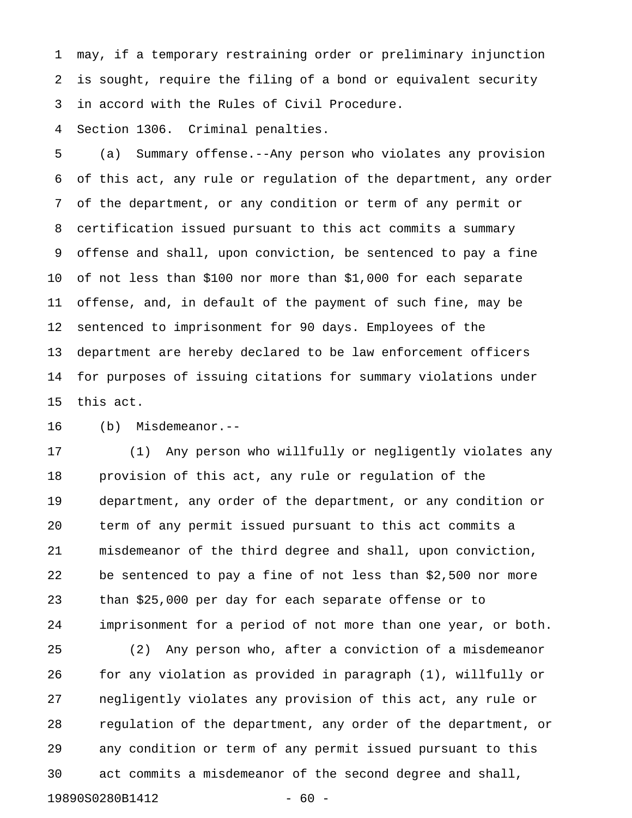1 may, if a temporary restraining order or preliminary injunction 2 is sought, require the filing of a bond or equivalent security 3 in accord with the Rules of Civil Procedure.

4 Section 1306. Criminal penalties.

5 (a) Summary offense.--Any person who violates any provision 6 of this act, any rule or regulation of the department, any order 7 of the department, or any condition or term of any permit or 8 certification issued pursuant to this act commits a summary 9 offense and shall, upon conviction, be sentenced to pay a fine 10 of not less than \$100 nor more than \$1,000 for each separate 11 offense, and, in default of the payment of such fine, may be 12 sentenced to imprisonment for 90 days. Employees of the 13 department are hereby declared to be law enforcement officers 14 for purposes of issuing citations for summary violations under 15 this act.

16 (b) Misdemeanor.--

17 (1) Any person who willfully or negligently violates any 18 provision of this act, any rule or regulation of the 19 department, any order of the department, or any condition or 20 term of any permit issued pursuant to this act commits a 21 misdemeanor of the third degree and shall, upon conviction, 22 be sentenced to pay a fine of not less than \$2,500 nor more 23 than \$25,000 per day for each separate offense or to 24 imprisonment for a period of not more than one year, or both.

25 (2) Any person who, after a conviction of a misdemeanor 26 for any violation as provided in paragraph (1), willfully or 27 negligently violates any provision of this act, any rule or 28 regulation of the department, any order of the department, or 29 any condition or term of any permit issued pursuant to this 30 act commits a misdemeanor of the second degree and shall, 19890S0280B1412 - 60 -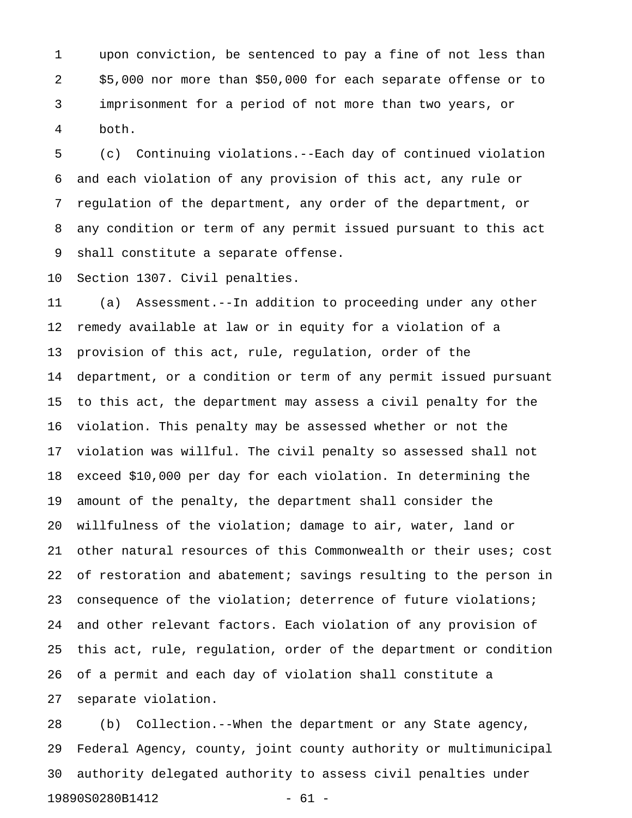1 upon conviction, be sentenced to pay a fine of not less than 2 \$5,000 nor more than \$50,000 for each separate offense or to 3 imprisonment for a period of not more than two years, or 4 both.

5 (c) Continuing violations.--Each day of continued violation 6 and each violation of any provision of this act, any rule or 7 regulation of the department, any order of the department, or 8 any condition or term of any permit issued pursuant to this act 9 shall constitute a separate offense.

10 Section 1307. Civil penalties.

11 (a) Assessment.--In addition to proceeding under any other 12 remedy available at law or in equity for a violation of a 13 provision of this act, rule, regulation, order of the 14 department, or a condition or term of any permit issued pursuant 15 to this act, the department may assess a civil penalty for the 16 violation. This penalty may be assessed whether or not the 17 violation was willful. The civil penalty so assessed shall not 18 exceed \$10,000 per day for each violation. In determining the 19 amount of the penalty, the department shall consider the 20 willfulness of the violation; damage to air, water, land or 21 other natural resources of this Commonwealth or their uses; cost 22 of restoration and abatement; savings resulting to the person in 23 consequence of the violation; deterrence of future violations; 24 and other relevant factors. Each violation of any provision of 25 this act, rule, regulation, order of the department or condition 26 of a permit and each day of violation shall constitute a 27 separate violation.

28 (b) Collection.--When the department or any State agency, 29 Federal Agency, county, joint county authority or multimunicipal 30 authority delegated authority to assess civil penalties under 19890S0280B1412 - 61 -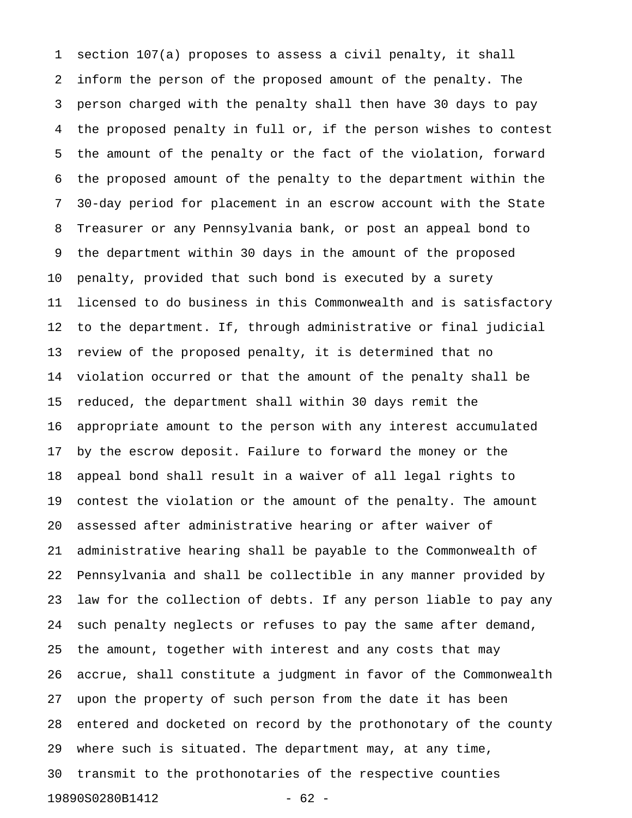1 section 107(a) proposes to assess a civil penalty, it shall 2 inform the person of the proposed amount of the penalty. The 3 person charged with the penalty shall then have 30 days to pay 4 the proposed penalty in full or, if the person wishes to contest 5 the amount of the penalty or the fact of the violation, forward 6 the proposed amount of the penalty to the department within the 7 30-day period for placement in an escrow account with the State 8 Treasurer or any Pennsylvania bank, or post an appeal bond to 9 the department within 30 days in the amount of the proposed 10 penalty, provided that such bond is executed by a surety 11 licensed to do business in this Commonwealth and is satisfactory 12 to the department. If, through administrative or final judicial 13 review of the proposed penalty, it is determined that no 14 violation occurred or that the amount of the penalty shall be 15 reduced, the department shall within 30 days remit the 16 appropriate amount to the person with any interest accumulated 17 by the escrow deposit. Failure to forward the money or the 18 appeal bond shall result in a waiver of all legal rights to 19 contest the violation or the amount of the penalty. The amount 20 assessed after administrative hearing or after waiver of 21 administrative hearing shall be payable to the Commonwealth of 22 Pennsylvania and shall be collectible in any manner provided by 23 law for the collection of debts. If any person liable to pay any 24 such penalty neglects or refuses to pay the same after demand, 25 the amount, together with interest and any costs that may 26 accrue, shall constitute a judgment in favor of the Commonwealth 27 upon the property of such person from the date it has been 28 entered and docketed on record by the prothonotary of the county 29 where such is situated. The department may, at any time, 30 transmit to the prothonotaries of the respective counties 19890S0280B1412 - 62 -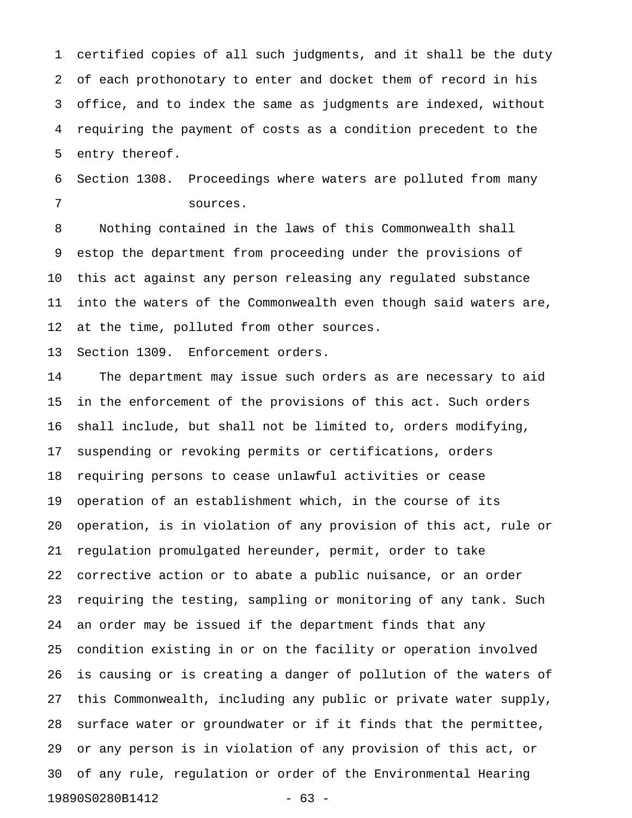1 certified copies of all such judgments, and it shall be the duty 2 of each prothonotary to enter and docket them of record in his 3 office, and to index the same as judgments are indexed, without 4 requiring the payment of costs as a condition precedent to the 5 entry thereof.

6 Section 1308. Proceedings where waters are polluted from many 7 sources.

8 Nothing contained in the laws of this Commonwealth shall 9 estop the department from proceeding under the provisions of 10 this act against any person releasing any regulated substance 11 into the waters of the Commonwealth even though said waters are, 12 at the time, polluted from other sources.

13 Section 1309. Enforcement orders.

14 The department may issue such orders as are necessary to aid 15 in the enforcement of the provisions of this act. Such orders 16 shall include, but shall not be limited to, orders modifying, 17 suspending or revoking permits or certifications, orders 18 requiring persons to cease unlawful activities or cease 19 operation of an establishment which, in the course of its 20 operation, is in violation of any provision of this act, rule or 21 regulation promulgated hereunder, permit, order to take 22 corrective action or to abate a public nuisance, or an order 23 requiring the testing, sampling or monitoring of any tank. Such 24 an order may be issued if the department finds that any 25 condition existing in or on the facility or operation involved 26 is causing or is creating a danger of pollution of the waters of 27 this Commonwealth, including any public or private water supply, 28 surface water or groundwater or if it finds that the permittee, 29 or any person is in violation of any provision of this act, or 30 of any rule, regulation or order of the Environmental Hearing 19890S0280B1412 - 63 -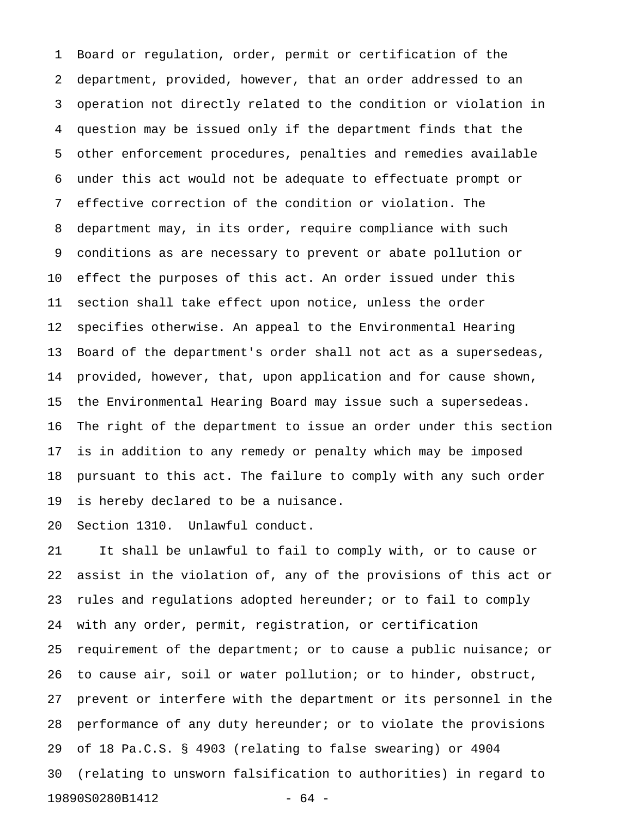1 Board or regulation, order, permit or certification of the 2 department, provided, however, that an order addressed to an 3 operation not directly related to the condition or violation in 4 question may be issued only if the department finds that the 5 other enforcement procedures, penalties and remedies available 6 under this act would not be adequate to effectuate prompt or 7 effective correction of the condition or violation. The 8 department may, in its order, require compliance with such 9 conditions as are necessary to prevent or abate pollution or 10 effect the purposes of this act. An order issued under this 11 section shall take effect upon notice, unless the order 12 specifies otherwise. An appeal to the Environmental Hearing 13 Board of the department's order shall not act as a supersedeas, 14 provided, however, that, upon application and for cause shown, 15 the Environmental Hearing Board may issue such a supersedeas. 16 The right of the department to issue an order under this section 17 is in addition to any remedy or penalty which may be imposed 18 pursuant to this act. The failure to comply with any such order 19 is hereby declared to be a nuisance.

20 Section 1310. Unlawful conduct.

21 It shall be unlawful to fail to comply with, or to cause or 22 assist in the violation of, any of the provisions of this act or 23 rules and regulations adopted hereunder; or to fail to comply 24 with any order, permit, registration, or certification 25 requirement of the department; or to cause a public nuisance; or 26 to cause air, soil or water pollution; or to hinder, obstruct, 27 prevent or interfere with the department or its personnel in the 28 performance of any duty hereunder; or to violate the provisions 29 of 18 Pa.C.S. § 4903 (relating to false swearing) or 4904 30 (relating to unsworn falsification to authorities) in regard to 19890S0280B1412 - 64 -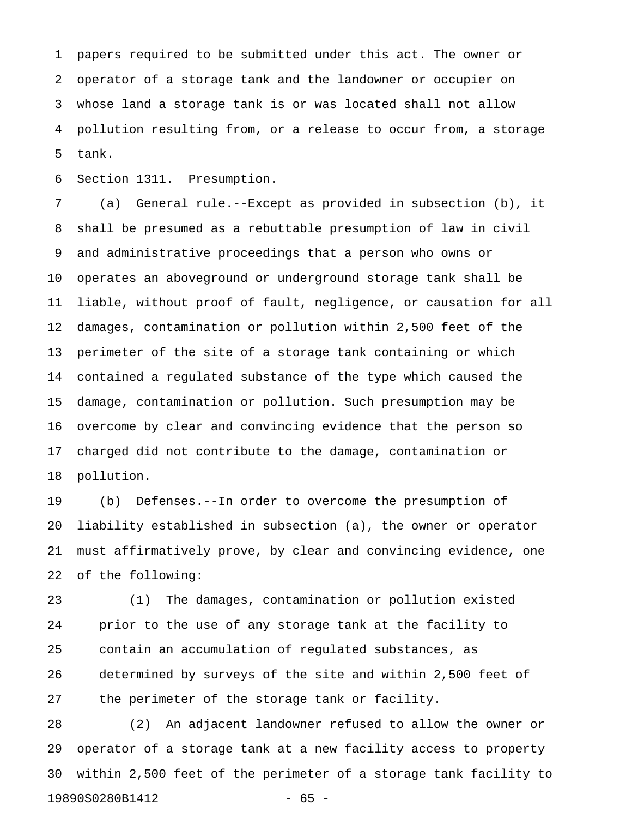1 papers required to be submitted under this act. The owner or 2 operator of a storage tank and the landowner or occupier on 3 whose land a storage tank is or was located shall not allow 4 pollution resulting from, or a release to occur from, a storage 5 tank.

6 Section 1311. Presumption.

7 (a) General rule.--Except as provided in subsection (b), it 8 shall be presumed as a rebuttable presumption of law in civil 9 and administrative proceedings that a person who owns or 10 operates an aboveground or underground storage tank shall be 11 liable, without proof of fault, negligence, or causation for all 12 damages, contamination or pollution within 2,500 feet of the 13 perimeter of the site of a storage tank containing or which 14 contained a regulated substance of the type which caused the 15 damage, contamination or pollution. Such presumption may be 16 overcome by clear and convincing evidence that the person so 17 charged did not contribute to the damage, contamination or 18 pollution.

19 (b) Defenses.--In order to overcome the presumption of 20 liability established in subsection (a), the owner or operator 21 must affirmatively prove, by clear and convincing evidence, one 22 of the following:

23 (1) The damages, contamination or pollution existed 24 prior to the use of any storage tank at the facility to 25 contain an accumulation of regulated substances, as 26 determined by surveys of the site and within 2,500 feet of 27 the perimeter of the storage tank or facility.

28 (2) An adjacent landowner refused to allow the owner or 29 operator of a storage tank at a new facility access to property 30 within 2,500 feet of the perimeter of a storage tank facility to 19890S0280B1412 - 65 -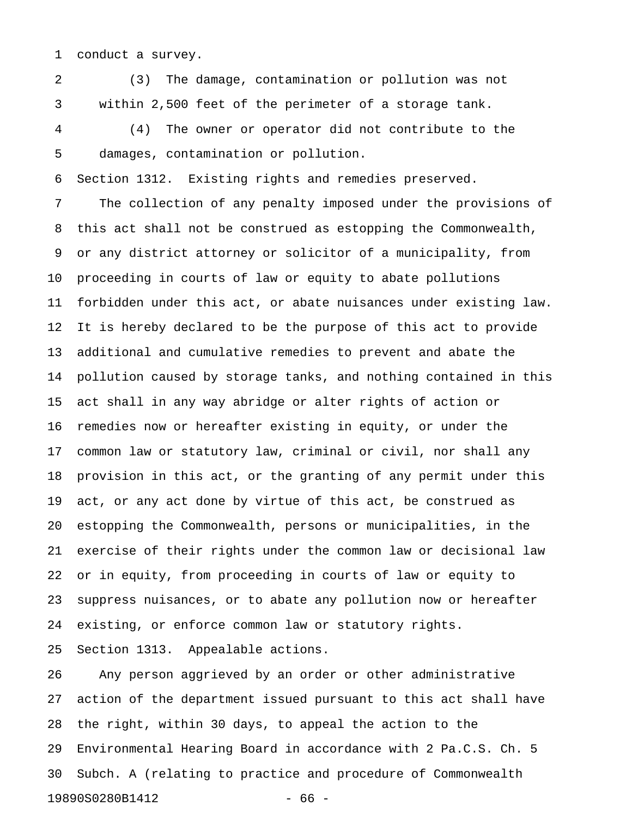1 conduct a survey.

2 (3) The damage, contamination or pollution was not 3 within 2,500 feet of the perimeter of a storage tank.

4 (4) The owner or operator did not contribute to the 5 damages, contamination or pollution.

6 Section 1312. Existing rights and remedies preserved.

7 The collection of any penalty imposed under the provisions of 8 this act shall not be construed as estopping the Commonwealth, 9 or any district attorney or solicitor of a municipality, from 10 proceeding in courts of law or equity to abate pollutions 11 forbidden under this act, or abate nuisances under existing law. 12 It is hereby declared to be the purpose of this act to provide 13 additional and cumulative remedies to prevent and abate the 14 pollution caused by storage tanks, and nothing contained in this 15 act shall in any way abridge or alter rights of action or 16 remedies now or hereafter existing in equity, or under the 17 common law or statutory law, criminal or civil, nor shall any 18 provision in this act, or the granting of any permit under this 19 act, or any act done by virtue of this act, be construed as 20 estopping the Commonwealth, persons or municipalities, in the 21 exercise of their rights under the common law or decisional law 22 or in equity, from proceeding in courts of law or equity to 23 suppress nuisances, or to abate any pollution now or hereafter 24 existing, or enforce common law or statutory rights. 25 Section 1313. Appealable actions.

26 Any person aggrieved by an order or other administrative 27 action of the department issued pursuant to this act shall have 28 the right, within 30 days, to appeal the action to the 29 Environmental Hearing Board in accordance with 2 Pa.C.S. Ch. 5 30 Subch. A (relating to practice and procedure of Commonwealth 19890S0280B1412 - 66 -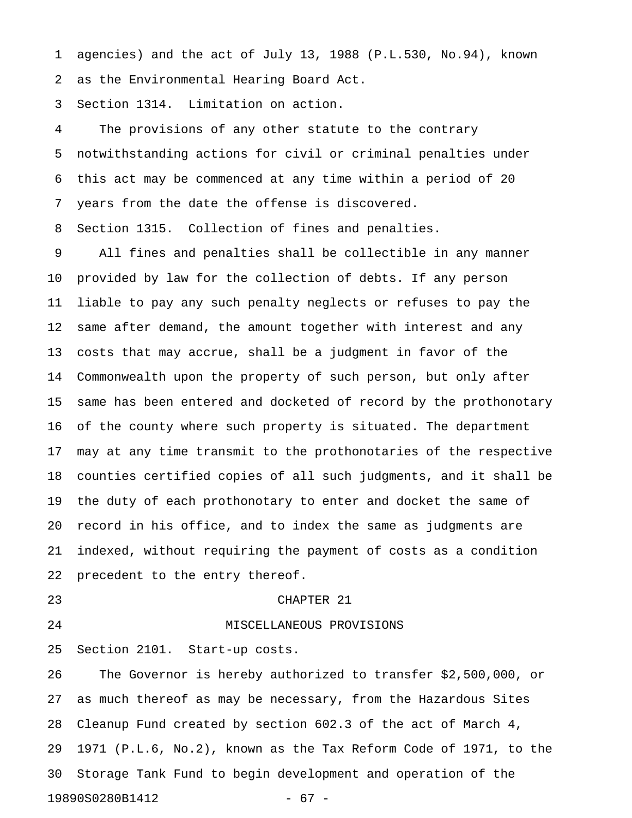1 agencies) and the act of July 13, 1988 (P.L.530, No.94), known 2 as the Environmental Hearing Board Act.

3 Section 1314. Limitation on action.

4 The provisions of any other statute to the contrary 5 notwithstanding actions for civil or criminal penalties under 6 this act may be commenced at any time within a period of 20 7 years from the date the offense is discovered.

8 Section 1315. Collection of fines and penalties.

9 All fines and penalties shall be collectible in any manner 10 provided by law for the collection of debts. If any person 11 liable to pay any such penalty neglects or refuses to pay the 12 same after demand, the amount together with interest and any 13 costs that may accrue, shall be a judgment in favor of the 14 Commonwealth upon the property of such person, but only after 15 same has been entered and docketed of record by the prothonotary 16 of the county where such property is situated. The department 17 may at any time transmit to the prothonotaries of the respective 18 counties certified copies of all such judgments, and it shall be 19 the duty of each prothonotary to enter and docket the same of 20 record in his office, and to index the same as judgments are 21 indexed, without requiring the payment of costs as a condition 22 precedent to the entry thereof.

#### 23 CHAPTER 21

#### 24 MISCELLANEOUS PROVISIONS

25 Section 2101. Start-up costs.

26 The Governor is hereby authorized to transfer \$2,500,000, or 27 as much thereof as may be necessary, from the Hazardous Sites 28 Cleanup Fund created by section 602.3 of the act of March 4, 29 1971 (P.L.6, No.2), known as the Tax Reform Code of 1971, to the 30 Storage Tank Fund to begin development and operation of the 19890S0280B1412 - 67 -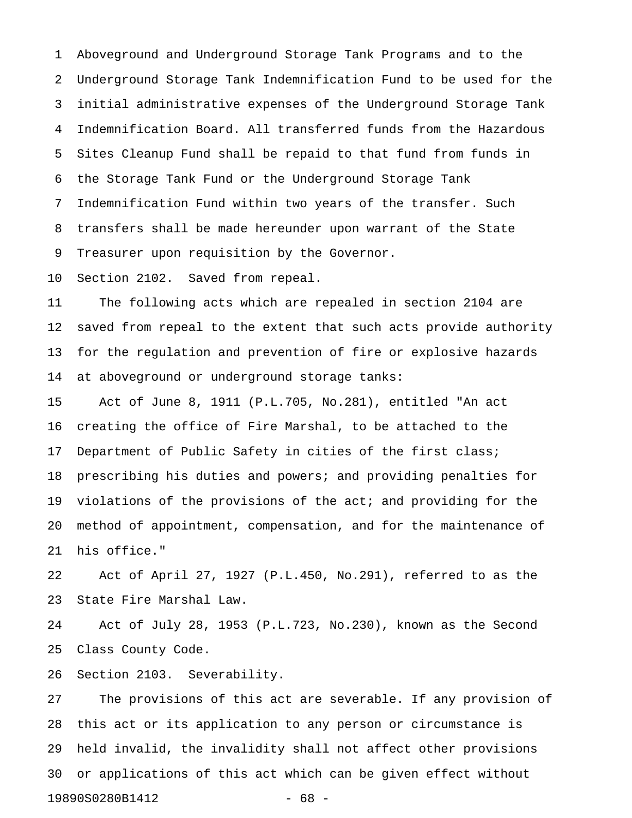1 Aboveground and Underground Storage Tank Programs and to the 2 Underground Storage Tank Indemnification Fund to be used for the 3 initial administrative expenses of the Underground Storage Tank 4 Indemnification Board. All transferred funds from the Hazardous 5 Sites Cleanup Fund shall be repaid to that fund from funds in 6 the Storage Tank Fund or the Underground Storage Tank 7 Indemnification Fund within two years of the transfer. Such 8 transfers shall be made hereunder upon warrant of the State 9 Treasurer upon requisition by the Governor.

10 Section 2102. Saved from repeal.

11 The following acts which are repealed in section 2104 are 12 saved from repeal to the extent that such acts provide authority 13 for the regulation and prevention of fire or explosive hazards 14 at aboveground or underground storage tanks:

15 Act of June 8, 1911 (P.L.705, No.281), entitled "An act 16 creating the office of Fire Marshal, to be attached to the 17 Department of Public Safety in cities of the first class; 18 prescribing his duties and powers; and providing penalties for 19 violations of the provisions of the act; and providing for the 20 method of appointment, compensation, and for the maintenance of 21 his office."

22 Act of April 27, 1927 (P.L.450, No.291), referred to as the 23 State Fire Marshal Law.

24 Act of July 28, 1953 (P.L.723, No.230), known as the Second 25 Class County Code.

26 Section 2103. Severability.

27 The provisions of this act are severable. If any provision of 28 this act or its application to any person or circumstance is 29 held invalid, the invalidity shall not affect other provisions 30 or applications of this act which can be given effect without 19890S0280B1412 - 68 -